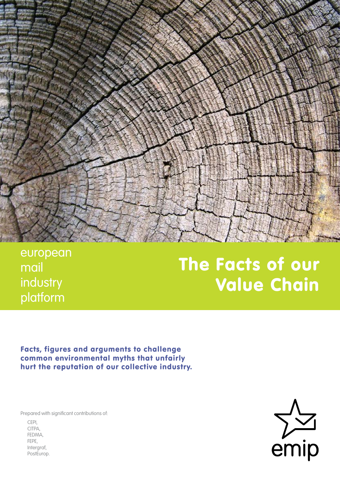

european mail industry platform

# The Facts of our Value Chain

Facts, figures and arguments to challenge common environmental myths that unfairly hurt the reputation of our collective industry.

Prepared with significant contributions of:

CEPI, CITPA, FEDMA, FEPE, Intergraf, PostEurop.

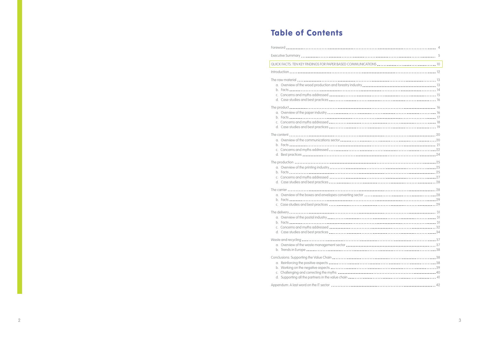## Table of Contents

|                                                                                                                  | $\overline{4}$ |
|------------------------------------------------------------------------------------------------------------------|----------------|
|                                                                                                                  |                |
| and the control of the control of the control of the control of the control of the control of the control of the | 10             |
|                                                                                                                  |                |
|                                                                                                                  |                |
|                                                                                                                  |                |
|                                                                                                                  |                |
|                                                                                                                  |                |
|                                                                                                                  |                |
|                                                                                                                  | <b>16</b>      |
|                                                                                                                  |                |
|                                                                                                                  |                |
|                                                                                                                  |                |
|                                                                                                                  |                |
|                                                                                                                  |                |
|                                                                                                                  |                |
|                                                                                                                  |                |
|                                                                                                                  |                |
|                                                                                                                  |                |
|                                                                                                                  |                |
|                                                                                                                  |                |
|                                                                                                                  |                |
|                                                                                                                  |                |
|                                                                                                                  |                |
|                                                                                                                  |                |
|                                                                                                                  |                |
|                                                                                                                  |                |
|                                                                                                                  |                |
|                                                                                                                  |                |
|                                                                                                                  |                |
|                                                                                                                  | 32             |
|                                                                                                                  |                |
|                                                                                                                  |                |
|                                                                                                                  |                |
|                                                                                                                  |                |
|                                                                                                                  |                |
|                                                                                                                  |                |
|                                                                                                                  |                |
|                                                                                                                  |                |
|                                                                                                                  |                |
|                                                                                                                  |                |

| ,我们也不能在这里的时候,我们也不能会在这里,我们也不能会在这里的时候,我们也不能会在这里的时候,我们也不能会在这里的时候,我们也不能会在这里的时候,我们也不能<br>QUICK FACTS: TEN KEY FINDINGS FOR PAPER BASED COMMUNICATIONS __________________________________10 |  |
|---------------------------------------------------------------------------------------------------------------------------------------------------------------------------------------|--|
|                                                                                                                                                                                       |  |
|                                                                                                                                                                                       |  |
|                                                                                                                                                                                       |  |
|                                                                                                                                                                                       |  |
|                                                                                                                                                                                       |  |
|                                                                                                                                                                                       |  |
|                                                                                                                                                                                       |  |
|                                                                                                                                                                                       |  |
|                                                                                                                                                                                       |  |
|                                                                                                                                                                                       |  |
|                                                                                                                                                                                       |  |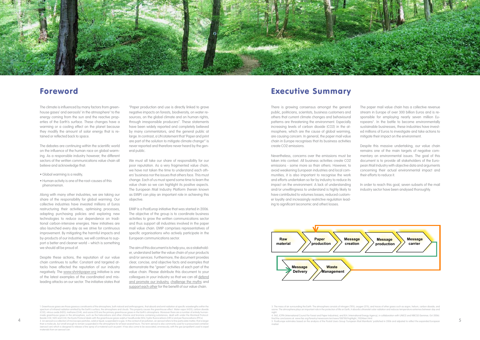

## Foreword

The climate is influenced by many factors from greenhouse gases<sup>1</sup> and aerosols<sup>2</sup> in the atmosphere<sup>3</sup> to the energy coming from the sun and the reactive properties of the Earth's surface. These changes have a warming or a cooling effect on the planet because they modify the amount of solar energy that is retained or reflected back to space.

The debates are continuing within the scientific world on the influence of the human race on global warming. As a responsible industry however, the different sectors of the written communications value chain all believe and acknowledge that:

- Global warming is a reality,
- Human activity is one of the root-causes of this phenomenon.

Along with many other industries, we are taking our share of the responsibility for global warming. Our collective industries have invested millions of Euros restructuring their activities, optimising processes, adapting purchasing policies and exploring new technologies to reduce our dependence on traditional carbon-intensive energies. New initiatives are also launched every day as we strive for continuous improvement. By mitigating the harmful impacts and by-products of our industries, we will continue to support a better and cleaner world – which is something we should all be proud of.

Despite these actions, the reputation of our value chain continues to suffer. Constant and targeted attacks have affected the reputation of our industry negatively. The www.shrinkpaper.org initiative is one of the latest examples of the coordinated and misleading attacks on our sector. The initiative states that

"Paper production and use is directly linked to grave negative impacts on forests, biodiversity, on water resources, on the global climate and on human rights, through irresponsible producers". These statements have been widely reported and completely believed by many commentators, and the general public at large. In contrast, a UN statement that 'Paper and print are part of the solution to mitigate climate change<sup>4</sup>' is never reported and therefore never heard by the general public.

We must all take our share of responsibility for our poor reputation. As a very fragmented value chain, we have not taken the time to understand each others' business nor the issues that others face. This must change. Each of us must spend some time to learn the value chain so we can highlight its positive aspects. The European Mail Industry Platform (herein known as EMIP) can play an important role in achieving this objective.

EMIP is a PostEurop initiative that was started in 2006. The objective of the group is to coordinate business activities to grow the written communications sector and thus support all industries involved in the paper mail value chain. EMIP comprises representatives of specific organisations who actively participate in the European communications sector.

The aim of this document is to help you, as a stakeholder, understand better the value chain of your products and/or services. Furthermore, the document provides clear, concise, and objective facts and examples that demonstrate the "green" activities of each part of the value chain. Please distribute this document to your colleagues in your industry so that we can all defend and promote our industry, challenge the myths and support each other for the benefit of our value chain.

#### Beside CO2, N2O and CH4, the Kyoto Protocol deals with the greenhouse gases sulphur hexafluoride (SF6), hydro fluorocarbons (HFCs) and per fluorocarbons (PFCs). The the concurrence of the conclusions of: www.fao.org/forest 1. Greenhouse gases are those gaseous constituents of the atmosphere, both natural and anthropogenic, that absorb and emit radiation at specific wavelengths within the spectrum of infrared radiation emitted by the Earth's surface, the atmosphere and clouds. This property causes the greenhouse effect. Water vapor (H2O), carbon dioxide (CO2), nitrous oxide (N2O), methane (CH4), and ozone (O3) are the primary greenhouse gases in the Earth's atmosphere. Moreover there are a number of entirely human-<br>made greenhouse gases in the atmosphere, such as the halo Beside CO2, N2O and CH4, the Kyoto Protocol deals with the greenhouse gases sulphur hexafluoride (SF6), hydro fluorocarbons (HFCs) and per fluorocarbons (PFCs).<br>2. An aerosol is a collection of microscopic particles, solid than a molecule, but small enough to remain suspended in the atmosphere for at least several hours. The term aerosol is also commonly used for a pressurized container (aerosol can) which is designed to release a fine spray of a material such as paint. It has also come to be associated, erroneously, with the gas (propellant) used to expe materials from an aerosol can.

## Executive Summary

There is growing consensus amongst the general public, politicians, scientists, business customers and others that current climate changes and behavioural patterns are threatening the environment. Especially increasing levels of carbon dioxide (CO2) in the atmosphere, which are the cause of global warming, are causing concern. In general, the paper mail value chain in Europe recognises that its business activities create CO2 emissions.

night.<br>4. FAO, ICFPA (International Council for Forest and Paper Industries), and IEA ( International Energy Agency), in collaboration with UNECE and WBCSD (Seminar, Oct 2006). market.

Nevertheless, concerns over the emissions must be taken into context. All business activities create CO2 emissions - some more so than others. However, to avoid weakening European industries and local communities, it is also important to recognise the work and efforts undertaken so far by industry to reduce its impact on the environment. A lack of understanding and/or unwillingness to understand is highly likely to have contributed to volumes losses, reduced customer loyalty and increasingly restrictive regulation leading to significant (economic and other) losses.



3. The mass of air surrounding the Earth. The atmosphere consists of nitrogen (78%), oxygen (21%), and traces of other gases such as argon, helium, carbon dioxide, and<br>ozone. The atmosphere plays an important role in the p

The paper mail value chain has a collective revenue stream in Europe of over 300 billion Euros and is responsible for employing nearly seven million Europeans<sup>5</sup>. In the battle to become environmentally sustainable businesses, these industries have invested millions of Euros to investigate and take actions to mitigate their impact on the environment.

Despite this massive undertaking, our value chain remains one of the main targets of negative commentary on environmental issues. The goal of this document is to provide all stakeholders of the European Mail Industry with objective data and arguments concerning their actual environmental impact and their efforts to reduce it.

In order to reach this goal, seven subsets of the mail industry sector have been analysed thoroughly.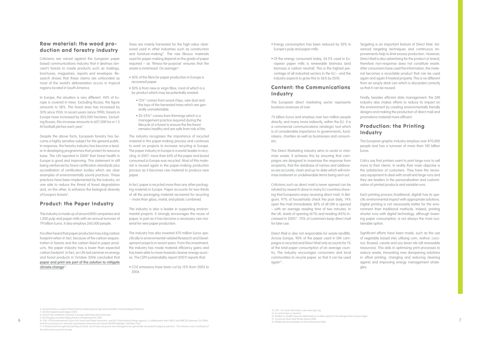### Raw material: the wood production and forestry industry

In Europe, the situation is very different. 44% of Europe is covered in trees. Excluding Russia, the figure amounts to 38%. The forest area has increased by 30% since 1950. In recent years (since 1990), forests in Europe have increased by 805,000 hectares. Excluding Russia, this increase amounts to 607,000 ha or 1.5 M football pitches each year<sup>7</sup>.

Criticisms are voiced against the European paper based communications industry that it destroys (ancient<sup>6</sup>) forests to create products such as mailings, brochures, magazines, reports and envelopes. Research shows that these claims are unfounded as most of the world's deforestation occurs in tropical regions located in South America.

Despite the above facts, European forestry has become a highly sensitive subject for the general public. In response, the forestry industry has become a leader in developing programmes that protect its resource base. The UN reported in 2004<sup>8</sup> that forest health in Europe is good and improving. This statement in still being reinforced by forest certification standards plus accreditation of certification bodies which are clear examples of environmentally sound practices. These practices have been implemented by the industry, on one side to reduce the threat of forest degradation and, on the other, to enhance the biological diversity of Europe's forests<sup>9</sup>.

Trees are mainly harvested for the high-value clearwood used in other industries such as construction and furniture-making<sup>11</sup>. The raw fibrous materials used for paper-making depend on the grade of paper required – as 'fitness-for-purpose' ensures that the waste is minimised. On average<sup>12</sup>:

### Product: the Paper Industry

The industry is made up of around 800 companies and 1,200 pulp and paper mills with an annual turnover of 79 billion Euros. It also employs 260,000 people.

It is often heard that paper production has a big carbon footprint when in fact, because of the carbon sequestration in forests and the carbon fixed in paper products, the paper industry has a lower than expected carbon footprint. In fact, an UN-led seminar on energy and forest products in October 2006 concluded that **paper and print are part of the solution to mitigate climate change**10.

### Content: the Communications **Industry**

- 50% of the fibre for paper production in Europe is recovered paper.
- 50% is from new or virgin fibre, most of which is a by-product which may be potentially wasted:
	- 13%13 comes from wood chips, saw dust and the tops of the harvested trees which are generally unmarketable.
	- 20-25%14 comes from thinnings which is a management practice required during the lifecycle of a forest to ensure the the forest remains healthy and are safe from risk of fire.

Direct Mail is also not responsible for waste landfills. Across Europe, 90% of the paper used in DM campaigns is recycled and Direct Mail only accounts for 1% of the total paper consumption of an average country. The industry encourages consumers and local communities to recycle paper, so that it can be used again<sup>16</sup>.

The industry recognises the importance of recycled material in the paper-making process and continues to work on projects to increase recycling in Europe. The paper industry in Europe is a world-leader in recycling. In 2007, more than 64% of the paper and board consumed in Europe was recycled. Most of this material is reused again in the paper-making production process as it becomes raw material to produce new paper.

In fact, paper is recycled more than any other packaging material in Europe. Paper accounts for two-thirds of all the packaging material recovered for recycling -- more than glass, metal, and plastic combined.

The industry is also a leader in supporting environmental projects. It strongly encourages the reuse of paper, in part as it has become a necessary raw material for new paper production.

The industry has also invested 470 million Euros specifically in environmental-related Research and Development projects in recent years. From this investment, the industry has made material efficiency gains and has been able to move towards cleaner energy sources. The CEPI sustainability report (2007) reports that:

• CO2 emissions have been cut by 15% from 2003 to 2006

- Energy consumption has been reduced by 30% in Europe's pulp and paper mills.
- Of the energy consumed today, 54.5% used in European paper mills is renewable biomass (and biomass is carbon neutral). This is the highest percentage of all industrial sectors in the EU – and the industry expects to grow this to 56% by 2010.

The European direct marketing sector represents business revenues of over

75 billion Euros and employs over two million people directly, and many more indirectly, within the EU. It is a commercial communications (strategic) tool which is of considerable importance to governments, fundraisers, charities as well as businesses and consumers.

The Direct Marketing industry aims to avoid or minimise waste. It achieves this by ensuring that campaigns are designed to maximise the response from recipients, that the database of names and addresses are accurate, clean and up-to-date which will minimise irrelevant or undeliverable items being sent out.

Criticisms such as direct mail is never opened can be refuted by research done in many EU countries showing that Europeans enjoy receiving direct mail. In Belgium, 97% of households check the post daily, 74% open the mail immediately. 80% of all DM is opened – with an average reading time of two minutes. In the UK, levels of opening (67%) and reading (45%) increased in 200515. 70% of customers keep direct mail for later use.

Targeting is an important feature of Direct Mail. Advanced targeting techniques and continuous improvements help to limit excess production. However, Direct Mail is also advertising for the product or brand, therefore non-response does not constitute waste. After consumers have used the information, the material becomes a recyclable product that can be used again and again if treated properly. This is no different from an empty drink can which is discarded correctly so that it can be reused.

Finally, besides efficient data management, the DM industry also makes efforts to reduce its impact on the environment by creating environmentally friendly designs and making the production of direct mail and promotions material more efficient.

### Production: the Printing Industry

The European graphic industry employs over 870,000 people and has a turnover of more than 100 billion Euros.

Critics say that printers want to print large runs to sell more to their clients. In reality their main objective is the satisfaction of customers. They have the necessary equipment to deal with small and large runs and they are leaders in the personalisation and customisation of printed products and variable runs.

Each printing process (traditional, digital) has its specific environmental impact with appropriate solutions. Digital printing is not necessarily better for the environment than traditional methods. Indeed, printing shorter runs with digital technology, although lowering paper consumption, is not always the most sustainable option.

Significant efforts have been made, such as the use of vegetable based inks utilising corn, walnut, coconut, linseed, canola and soy-bean oils (all renewable resources). This aids in optimising print processes to reduce waste, innovating new dampening solutions in offset printing, changing and reducing cleaning agents and improving energy management strategies.

13. As west amps at samass.<br>14. Weaker or smaller trees are felled early on to allow space for the stronger trees to grow larger

15. Consumer Direct Mail Trends Survey 2006. 16. FEDMA Recommendation on the Environment 2008

- 7. UN FAO Global Forests Report 2005
- 8. UN ECE The conditions of forests in Europe (2004 Executive Summary)
- 9. EEA Progress towards halting the loss of biodiversity by 2010.

11. In Finland and Portugal (and perhaps Austria), some trees are grown and managed to be specifically harvested for paper production. This remains only a small part of the total resource pool in Europe.

<sup>6</sup> 7 10. FAO, ICFPA (International Council for Forest and Paper Industries), and IEA ( International Energy Agency), in collaboration with UNECE and WBCSD (Seminar, Oct 2006). Find the conclusions at: www.fao.org/forestry/newsroom/en/news/108780/highlight\_110246en.html.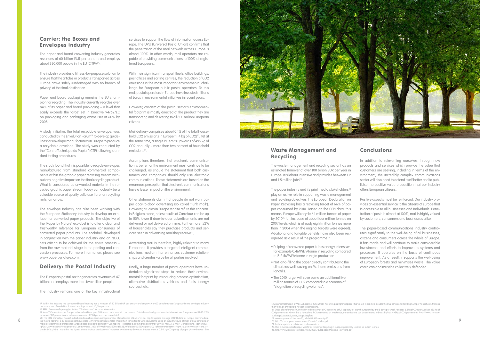The paper and board converting industry generates revenues of 60 billion EUR per annum and employs about 380,000 people in the EU (CITPA<sup>17</sup>).

### Carrier: the Boxes and Envelopes Industry

The industry provides a fitness-for-purpose solution to ensure that the articles or products transported across Europe arrive safely (undamaged with no breach of privacy) at the final destination.

Paper and board packaging remains the EU champion for recycling. The industry currently recycles over 84% of its paper and board packaging – a level that easily exceeds the target set in Directive 94/62/EC on packaging and packaging waste (set at 60% by 2008).

A study initiative, the total recyclable envelope, was conducted by the Envelution Forum18 to develop guidelines for envelope manufacturers in Europe to produce a recyclable envelope. The study was conducted by the "Centre Technique du Papier" (CTP) following standard testing procedures.

The study found that it is possible to recycle envelopes manufactured from standard commercial components within the graphic paper recycling stream without any negative impact on the final recycling product. What is considered as unwanted material in the recycled graphic paper stream today can actually be a valuable source of quality cellulose fibre for recycling mills tomorrow.

Mail delivery comprises about 0.1% of the total household CO2 emissions in Europe<sup>19</sup> (14 kg of CO2)<sup>20</sup>. Yet at the same time, a single PC emits upwards of 495 kg of CO2 annually – more than two percent of household emissions<sup>21</sup>.

The envelope industry has also been working with the European Stationary industry to develop an ecolabel for converted paper products. The objective of the 'Paper by Nature' ecolabel is to offer a clear and trustworthy reference for European consumers of converted paper products. The ecolabel, developed in conjunction with the paper industry and an NGO, sets criteria to be achieved for the entire process – from the raw material stage to the printing and conversion processes. For more information, please see www.paperbynature.com.

Other statements claim that people do not want paper door-to-door advertising (so called "junk mail"). However, studies in Europe tend to refute this concern. In Belgium alone, sales results at Carrefour can be up to 50% lower if door-to-door advertisements are not delivered or not delivered on time. Furthermore, 52% of households say they purchase products and services seen in advertising mail they receive<sup>22</sup>.

### Delivery: the Postal Industry

The European postal sector generates revenues of 47 billion and employs more than two million people.

The industry remains one of the key infrastructural

The waste management and recycling sector has an estimated turnover of over 100 billion EUR per year in Europe. It is labour intensive and provides between 1.2 and 1.5 million jobs $23$ .

The paper industry and its print media stakeholders<sup>24</sup> play an active role in supporting waste management and recycling objectives. The European Declaration on Paper Recycling has a recycling target of 66% of paper consumed by 2010. Based on the CEPI data, this means, Europe will recycle 64 million tonnes of paper by 201025 (an increase of about four million tonnes on 2007 levels which is already eight million tonnes more than in 2004 when the original targets were agreed). Additional and tangible benefits have also been recognised as a result of the programme<sup>26</sup>:

services to support the flow of information across Europe. The UPU (Universal Postal Union) confirms that the penetration of the mail network across Europe is almost 100%. In other words, mail operators are capable of providing communications to 100% of registered Europeans.

With their significant transport fleets, office buildings, post offices and sorting centres, the reduction of CO2 emissions is the most important environmental challenge for European public postal operators. To this end, postal operators in Europe have invested millions of Euros in environmental initiatives in recent years.

However, criticism of the postal sector's environmental footprint is mostly directed at the product they are transporting and delivering to all 800 million European citizens.

Assumptions therefore, that electronic communication is better for the environment must continue to be challenged, as should the statement that both customers and companies should only use electronic communications. These statements are based on the erroneous perception that electronic communications have a lesser impact on the environment.

Advertising mail is therefore, highly relevant to many Europeans. It provides a targeted intelligent communications medium that enhances customer relationships and creates value for all parties involved.

Finally, a large number of postal operators have undertaken significant steps to reduce their environmental footprint by introducing process optimisation, alternative distributions vehicles and fuels (energy sources), etc.



### Waste Management and Recycling

- Pulping of recovered paper is less energy intensive: for example 0.4MWEh/tonne in recycling compared to 2-2.5MWEh/tonne in virgin production.
- Not land-filling the paper directly contributes to the climate as well, saving on Methane emissions from landfills.
- The 2010 target will save some an additional five million tonnes of CO2 compared to a scenario of "stagnation of recycling volumes".

### Conclusions

In addition to reinventing ourselves through new products and services which provide the value that customers are seeking, including in terms of the environment, the incredibly complex communications sector will also need to defend itself better and to publicise the positive value proposition that our industry offers European citizens.

Positive aspects must be reinforced. Our industry provides an essential service to the citizens of Europe that is accessible to all businesses and individuals. Penetration of posts is almost at 100%, mail is highly valued by customers, consumers and businesses alike.

The paper-based communications industry contributes significantly to the well-being of all businesses, citizens and consumers across the whole of Europe. It has made and will continue to make considerable investments and efforts to improve its systems and processes. It operates on the basis of continuous improvement. As a result, it supports the well-being of European forests and minimises waste. The value chain can and must be collectively defended.

17. Within this industry, the corrugated board industry has a turnover of 20 Billion EUR per annum and employs 98,000 people across Europe while the envelope industry

has a turnover of two billion EUR and employs around 20,000 persons. 18. FEPE. See www.fepe.org ('Activities' / 'Environment') for more information

21. Study of a reference PC in the UK indicates that a PC operating at full capacity for eight hours per day and 5 days per week releases 6.8kg of CO2 per week or 352 kg of

25. This includes exports paper waste for recycling. Recycling in Europe specifically totalled 57 million tonnes 26. http://www.iea.org/Textbase/work/2006/pulppaper/Mensink\_Recycling.pdf

<sup>19.</sup> Ave CO2 emissions per European household is approx 20 tonnes per household per annum. This is based on figures from the International Energy Annual 2005 (7.93 tonnes of CO2 per capita x a std conversion rate of 2.80 persons per household).

<sup>22.</sup> WWW.USPSUCUTURE INTERNATIONAL ENTERING A PROPORTION CONTROLLED AND THE SERVER CONTROLLED AND THE SERVER CONTROLLED AND THE SERVER CONTROLLED AND THE SERVER CONTROLLED AND THE SERVER CONTROLLED AND THE SERVER CONTROLLED 20. The CO2 of mail per household is based on a European average number of mailpieces of 260 units per capita (approx average of UPU data for Europe) converted usl<u>q73oJ:www.insight2foresight.co.uk/\_attachments/3335871/Making%2520Mail%2520Relevant%2520v2.ppt+CO2+of+a+transatlantic+flight,+6.6+minutes&hl=en&ct=\_<br><u>clnk&cd=1&gl=be</u>]. Note that the figures do not include production of </u>

Environmental Impact of Mail: A Baseline, June 2008). Assuming a 20gr mail piece, this would, in practice, double the CO2 emissions (to 28 kg CO2 per household). Still less than 0.2% of annual total household emissions.

CO2 per annum. Given that a household PC is also used on weekends, the emissions can be estimated to be as high as 495kg of CO2 per annum. http://w

bonfootprint.co.uk/green\_computing.htm 22. www.usps.com/directmail/\_pdf/04MailMoment.pdf

<sup>23.</sup> http://ec.europa.eu/environment/waste/pdf/faq.pdf

<sup>24.</sup> Includes printers, publishers and converters.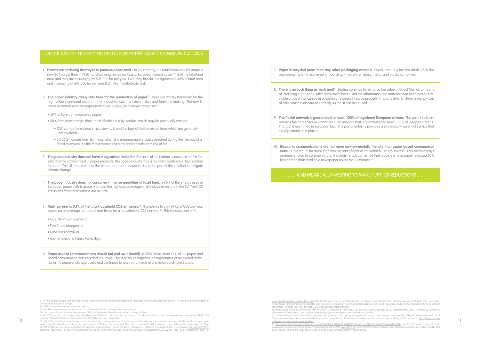### QUICK FACTS: TEN KEY FINDINGS FOR PAPER BASED COMMUNICATIONS

- 1. **Forests are not being destroyed to produce paper-mail.** On the contrary, the total forest area in Europe is now 30% larger than in 1950 - and growing. Including Russia, European forests cover 44% of the total land area and they are increasing by 805,000 ha per year. Excluding Russia, the figures are 38% of land area and increasing at 607,000 ha per year (1.5 million football pitches).
- 2. **The paper industry rarely cuts trees for the production of paper<sup>27</sup>. Trees are mostly harvested for the** high-value clearwood used in other industries such as construction and furniture-making. The raw fibrous materials used for paper-making in Europe, on average comprises<sup>28</sup>:
- 50% of fibre from recovered paper.
- 50% from new or virgin fibre, most of which is a by-product which may be potentially wasted:
	- 13% comes from wood chips, saw dust and the tops of the harvested trees which are generally unmarketable.
	- 20-25%29 comes from thinnings which is a management practice required during the lifecycle of a forest to ensure the the forest remains healthy and are safe from risk of fire.
- 3. **The paper industry does not have a big carbon footprint.** Because of the carbon sequestration<sup>30</sup> in forests and the carbon fixed in paper products, the paper industry has a relatively positive (i.e. low) carbon footprint. The UN has said that the wood and paper industries could be part of the solution to mitigate climate change.
- 4. **The paper industry does not consume immense quantities of fossil fuels.** 54.5% of the energy used in European paper mills is green biomass, the highest percentage of all industrial sectors in the EU. The CO2 emissions from this biomass are neutral.
- 5. **Mail represents 0.1% of the total household CO2 emissions31.** It amounts to only 14 kg of CO2 per year based on an average number of mail items for a household of 727 per year<sup>32</sup>. This is equivalent of<sup>33</sup>:
- One 70 km car journey or
- Five Cheeseburgers or
- Nine litres of milk or
- 6.6 minutes of a transatlantic flight.
- 7. **Paper is recycled more than any other packaging material**. Paper accounts for two-thirds of all the packaging material recovered for recycling -- more than glass, metal, and plastic combined.
- 8. **There is no such thing as 'junk mail'.** Studies continue to reinforce the value of Direct Mail as a means of informing Europeans. After consumers have used the information, the material then becomes a recyclable product that can be used again and again if treated properly. This is no different from an empty can of coke which is discarded correctly so that it can be reused.
- 9. **The Postal network is guaranteed to reach 100% of registered European citizens.** The postal industry remains the only effective communication network that is guaranteed to reach 100% of Europe's citizens. This fact is enshrined in European law. The postal industry provides a strategically essential service that simply cannot be replaced.
- 10. **Electronic communications are not more environmentally friendly than paper based communica**tions. PC's account for more than two percent of annual household CO2 emissions<sup>34</sup>. This cost is always underestimated by commentators. A Swedish study confirmed that reading a newspaper released 20% less carbon than reading a newspaper online for 30 minutes<sup>35</sup>.

27. In Finland and Portugal (and perhaps Austria), some trees are grown and managed to be specifically harvested for paper production. This remains only a small part of the total resource pool in Europe.

6. **Paper used in communications should not end up in landfill.** In 2007, more than 64% of the paper and board consumption was recycled in Europe. The industry recognises the importance of recovered material in the paper-making process and continues to work on projects to promote recycling in Europe.

<u>6+minutes&hl=en&ct=clnk&cd=1&gl=be).</u> Note that the figures do not include production of materials which Pitney Bowes estimates to costs 0.9-1.3gr CO2 per gr of paper<br>(Pitney Bowes - The Environmental Impact of Mail: A Ba household). However, this is still less than 0.2% of annual household emissions. 33. Pitney Bowes (Making Mail Relevant) <u>http://66.102.9.132/search?q=cache:OllQ\_-lq73oJ:www.insight2foresight.co.uk/\_attachments/3335871/Making%2520Mail%25<br>20Relevant%2520v2.ppt+CO2+of+a+transatlantic+flight,+6.6+minutes&</u> 34. Study of a reference PC in the UK indicates that a PC operating at full capacity for eight hours per day and 5 days per week releases 6.8kg of CO2 per week or 352 kg of<br>CO2 per annum. Given that a household PC is also bonfootprint.co.uk/green\_computing.htm.

### ……..AND WE ARE ALL INVESTING TO MAKE FURTHER REDUCTIONS…..

28. CEPI. For more information, see www.cepi.org

29. Weaker or smaller trees are felled early on to allow space for the stronger trees to grow larger 30. The process by which carbon sinks remove CO2 from the atmosphere is known as carbon sequestration

35. http://www.forest.fi/smyforest/foresteng.nsf/95f358fafb7d84d8c2256f4b003725e1/5c5a49462ac05185c22574ba001ba997. Note that the study assumed that the was only read once and by one person whereas the ENPA (<u>www.ENPA.be</u>) state that 140 million newspapers are distributed daily in Europe and are read by 280 million people. Further, the study does not consider the full cost of disposal of the PC and screen.

<sup>10 22.</sup> The CO2 of mail per household is based on a European average number of mailpieces of 260 units per capita (approx average of UPU data for Europe) con-<br>32. The CO2 of mail per household is based on a European average verted using the std factor of 2.80 persons per household (727 items per household). This is then converted to CO2 equivalents using an European industry figure of 20gr of CO2 emitted per mailpiece (estimated average for Europe based on postal company CSR reports – collected & summarised by Pitney Bowes: http://66.102.9.132/ search?q=cache:OlIQ\_-lq73oJ:www.insight2foresight.co.uk/\_attachments/3335871/Making%2520Mail%2520Relevant%2520v2.ppt+CO2+of+a+transatlantic+flight,+6.

<sup>31.</sup> Ave CO2 emissions per European household is approx 20 tonnes per household per annum. This is based on figures from the International Energy Annual 2005 (7.93 tonnes of CO2 per capita x a std conversion rate of 2.80 persons per household).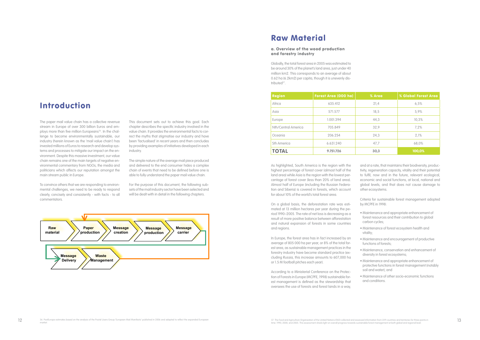## Introduction

The paper mail value chain has a collective revenue stream in Europe of over 300 billion Euros and employs more than five million Europeans<sup>36</sup>. In the challenge to become environmentally sustainable, our industry (herein known as the 'mail value chain') has invested millions of Euros to research and develop systems and processes to mitigate our impact on the environment. Despite this massive investment, our value chain remains one of the main targets of negative environmental commentary from NGOs, the media and politicians which affects our reputation amongst the main stream public in Europe.

To convince others that we are responding to environmental challenges, we need to be ready to respond clearly, concisely and consistently - with facts - to all commentators.

Globally, the total forest area in 2005 was estimated to be around 30% of the planet's land area, just under 40 million km2. This corresponds to an average of about 0.62 ha (6.2km2) per capita, though it is unevenly distributed<sup>37</sup>

This document sets out to achieve this goal. Each chapter describes the specific industry involved in the value chain. It provides the environmental facts to correct the myths that stigmatise our industry and have been 'factualised' in recent years and then concludes by providing examples of initiatives developed in each industry.

The simple nature of the average mail piece produced and delivered to the end consumer hides a complex chain of events that need to be defined before one is able to fully understand the paper mail value chain.

For the purpose of this document, the following subsets of the mail industry sector have been selected and will be dealt with in detail in the following chapters.



## Raw Material

### a. Overview of the wood production and forestry industry

| <b>Region</b>       | Forest Area (000 ha) | % Area | % Global Forest Area |
|---------------------|----------------------|--------|----------------------|
| Africa              | 635.412              | 21,4   | 6,5%                 |
| Asia                | 571.577              | 18,5   | 5.9%                 |
| Europe              | 1.001.394            | 44,3   | 10,3%                |
| Nth/Central America | 705.849              | 32,9   | 7.2%                 |
| Oceania             | 206.254              | 24.3   | 2.1%                 |
| <b>Sth America</b>  | 6.631.240            | 47,7   | 68.0%                |
| <b>TOTAL</b>        | 9.751.726            | 30,3   | 100,0%               |

As highlighted, South America is the region with the highest percentage of forest cover (almost half of the land area) while Asia is the region with the lowest percentage of forest cover (less than 20% of land area). Almost half of Europe (including the Russian Federation and Siberia) is covered in forests, which account for about 10% of the world's total forest area.

On a global basis, the deforestation rate was estimated at 13 million hectares per year during the period 1990–2005. The rate of net loss is decreasing as a result of more positive balance between afforestation and natural expansion of forests in some countries and regions.

In Europe, the forest area has in fact increased by an average of 805 000 ha per year, or 8% of the total forest area, as sustainable management practices in the forestry industry have become standard practice (excluding Russia, this increase amounts to 607,000 ha or 1.5 M football pitches each year).

According to a Ministerial Conference on the Protection of Forests in Europe (MCPFE, 1998) sustainable forest management is defined as the stewardship that oversees the use of forests and forest lands in a way,

and at a rate, that maintains their biodiversity, productivity, regeneration capacity, vitality and their potential to fulfil, now and in the future, relevant ecological, economic and social functions, at local, national and global levels, and that does not cause damage to other ecosystems.

Criteria for sustainable forest management adopted by MCPFE in 1998:

- Maintenance and appropriate enhancement of forest resources and their contribution to global carbon cycles;
- Maintenance of forest ecosystem health and vitality;
- Maintenance and encouragement of productive functions of forests;
- Maintenance, conservation and enhancement of diversity in forest ecosystems;
- Maintenance and appropriate enhancement of protective functions in forest management (notably soil and water); and
- Maintenance of other socio-economic functions and conditions.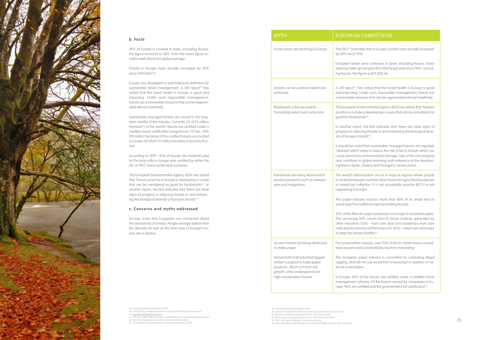### b. Facts

Forests in Europe have actually increased by 30% since 1950 (FAO<sup>38</sup>).

44% of Europe is covered in trees. Excluding Russia, the figure amounts to 38%. Even the lower figure re mains well-above the global average.

Europe has developed a well-balanced definition for sustainable forest management. A UN report<sup>39</sup> has stated that the forest health in Europe is good and improving. Under such responsible management, forests are a renewable resource that can be regenerated almost indefintely.

According to CEPI<sup>41</sup>, 45% of woody raw material used by the pulp mills in Europe was certified by either the FSC or PEFC forest certification schemes.

The European Environmental Agency (EEA) has stated that 'forestry practice in Europe is developing in a way that can be considered as good for biodiversity<sup>42</sup>.' In another report, the EEA indicates that 'there are clear signs of progress in reducing threats to and enhanc ing the biological diversity of Europe's forests<sup>43</sup>.'

Sustainably managed forests are crucial to the longterm viability of the industry. Currently 3% (295 million hectares<sup>40</sup>) of the worlds' forests are certified under a credible forest certification programme. Of this, 34% (99 million hectares) of the certified forests are located in Europe (of which 12 million hectares is found in Rus sia).

#### c. Concerns and myths addressed

Surveys show that Europeans are concerned about the biodiversity of forests. People wrongly believe that the diversity as well as the total area of Europe's forests are in decline.

> For conservation reasons, over 20% of the EU forest area is consid protected by law from harvesting.

> er industry is committed to combating illegal logging, and will not use wood that is harvested in violation of na -

> ne forests are certified under a credible forest management scheme. Of the forests owned by companies in Eu rope, 96% are certified and the goal remains full certification<sup>49</sup>.



|  | <b>MYTH</b>                                                                                                                                                                                                                    | <b>EUROPEAN CORREC</b>                                                                                                                                                                                                                                                                                                                                                           |
|--|--------------------------------------------------------------------------------------------------------------------------------------------------------------------------------------------------------------------------------|----------------------------------------------------------------------------------------------------------------------------------------------------------------------------------------------------------------------------------------------------------------------------------------------------------------------------------------------------------------------------------|
|  | Forest areas are declining in Europe                                                                                                                                                                                           | The FAO <sup>44</sup> estimates that in E<br>by 30% since 1950.<br>European forest area contir<br>area has been growing by 80<br>ing Russia, the figure is 607,                                                                                                                                                                                                                  |
|  | Forests can be used but need to be<br>protected                                                                                                                                                                                | A UN report <sup>45</sup> has stated the<br>and improving. Under such<br>a renewable resource that co                                                                                                                                                                                                                                                                            |
|  | Biodiversity is the top priority -<br>harvesting wood must come later                                                                                                                                                          | The European Environmenta<br>practice in Europe is develop<br>good for biodiversity <sup>46</sup> .'<br>In another report, the EEA ir<br>progress in reducing threats<br>sity of Europe's forests <sup>47</sup> .'<br>It should be noted that susta<br>'cleaned' which helps to red<br>cause enormous environme<br>and contribute to global wa<br>ing fires in Spain, Greece and |
|  | Rainforests are being destroyed to<br>produce products such as newspa-<br>pers and magazines.                                                                                                                                  | The world's deforestation oc<br>in underdeveloped countries<br>or wood-fuel collection. It is<br>happening in Europe.<br>The paper industry sources<br>wood pulp from within Europ<br>50% of the fibre for paper pro<br>The remaining 50% comes<br>other industries (13%) - from<br>mills and (ii) commercial thin<br>to keep the forests healthy <sup>48</sup> .                |
|  | Ancient forests are being destroyed<br>to make paper.<br>Almost half of all industrial logged<br>timber is pulped to make paper<br>products. Much of it from old<br>growth, other endangered and<br>high-conservation forests. | For conservation reasons, ov<br>ered ancient and is protected<br>The European paper indust<br>logging, and will not use wo<br>tional or local laws.<br>In Europe, 50% of the forest<br>management scheme. Of th<br>rone 96% are certified and t                                                                                                                                  |

38. UN FAO Global Forests Report 2005 39. UN ECE The conditions of forests in Europe (2004 Executive Summary) 40. www.forestrycertification.info 41. CEPI, Dec 2006. Pulp and paper trade liberalisation and sustainability aspects 42. EEA The European Environment: State and Outlook 2005 43. EEA Progress towards halting the loss of biodiversity by 2010.

- 44. UN FAO Global Forests Report 2005 45. UN ECE The conditions of forests in Europe (2004 Executive Summary) 46. EEA The European Environment: State and Outlook 2005
- 47. EEA Progress towards halting the loss of biodiversity by 2010
- 

### **RRECTIONS**

that in Europe, forests have actually increased

ea continues to grow. Including Russia, forest area has been growing by 805,000 ha per year since 1990. Exclud e is 607,000 ha.

> tated that the forest health in Europe is good ler such responsible management, forests are ce that can be regenerated almost indefintely.

> nmental Agency (EEA) has stated that 'forestry developing in a way that can be considered as

> In anotater report in anotate that 'there are clear signs of threats to and enhancing the biological diver- $\mathsf{ts}^{\mathsf{47}}$ .'

It sustainably managed forests are regularly ) os to reduce the risk of fire in forests which can vironmental damage, loss of life and property and contribute to global warming (with reference to the devastat eece and Portugal in recent years).

> ation occurs in tropical regions where people countries clear forests for agricultural purposes tion. It is not acceptable practice BUT it is not

> sources more than 80% of its wood and its hin Europe (excluding Russia).

> of the form of oper is the forest paper deper the form  $\epsilon$ comes from (i) wood residues generated by %) - from saw dust and woodchips from saw rcial thinnings (20-25%) – which are necessary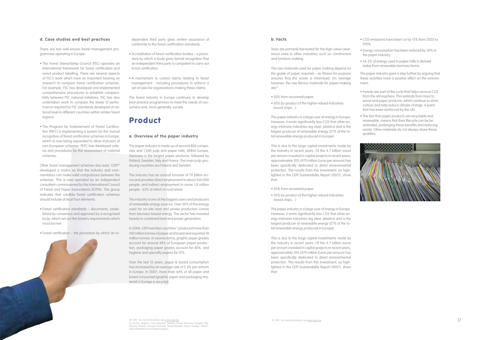### d. Case studies and best practices

There are two well-known forest management programmes operating in Europe:

- The Forest Stewardship Council (FSC) operates an international framework for forest certification and wood product labelling. There are several aspects of FSC's work which have an important bearing on research to compare forest certification schemes. For example, FSC has developed and implemented comprehensive procedures to establish comparability between FSC national initiatives. FSC has also undertaken work to compare the levels of performance required by FSC standards developed at national level in different countries within similar forest regions
- The Program for Endorsement of Forest Certification (PEFC) is implementing a system for the mutual recognition of forest certification schemes in Europe, which is now being expanded to allow inclusion of non-European schemes. PEFC has developed criteria and procedures for the assessment of national schemes.

Other forest management schemes also exist. CEPI<sup>50</sup> developed a matrix so that the industry and commentators can make valid comparisons between the schemes. This is now operated by an independent consultant commissioned by the International Council of Forest and Paper Associations (ICFPA). This group indicates that credible forest certification schemes should include at least four elements:

- Forest certification standards documents, established by consensus and approved by a recognised body, which set out the forestry requirements which must be met.
- Forest certification the procedure by which an in-

In 2006, CEPI member countries<sup>51</sup> produced more than 100 million tonnes of paper and board and exported 18 million tonnes. In volume terms, graphic paper grades account for around 48% of European paper production, packaging paper grades account for 40%, and hygiene and specialty papers for 12%.

dependent third party gives written assurance of conformity to the forest certification standards.

> The raw materials used for paper making depend on the grade of paper required – as fitness-for-purpose ensures that the waste is minimised. On average however, the raw fibrous materials for paper-making  $are^{52}$ :

- Accreditation of forest certification bodies a procedure by which a body gives formal recognition that an independent third party is competent to carry out forest certification.
- A mechanism to control claims relating to forest management - including procedures to enforce a set of rules for organizations making these claims.

The forest industry in Europe continues to develop best-practice programmes to meet the needs of consumers and, more generally, society.

## Product

### a. Overview of the paper industry

The paper industry is made up of around 800 companies and 1,200 pulp and paper mills. Within Europe, Germany is the largest paper producer, followed by Finland, Sweden, Italy and France. The main pulp-producing countries are Finland and Sweden.

The industry has an annual turnover of 79 billion euros and provides direct employment to about 260,000 people, and indirect employment to some 1.8 million people - 63% of which in rural areas.

The industry is one of the biggest users and producers of renewable energy sources. Over 50% of the energy used for on-site heat and power production comes from biomass-based energy. The sector has invested heavily in combined heat and power generation.

Over the last 15 years, paper & board consumption has increased by an average rate of 2.6% per annum in Europe. In 2007, more than 64% of all paper and board consumed (graphic paper and packaging material) in Europe is recycled.

### b. Facts

Trees are primarily harvested for the high-value clearwood used in other industries such as construction and furniture-making.

- 50% from recovered paper.
- 50% by-product of the higher-valued industries (wood chips…)

The paper industry is a large user of energy in Europe. However, it emits significantly less CO2 that other energy intensive industries (eg steel, plastics) and is the largest producer of renewable energy (27% of the total renewable energy produced in Europe).

This is due to the large capital investments made by the industry in recent years. Of the 4.7 billion euros per annum invested in capital projects in recent years, approximately 10% (470 million Euros per annum) has been specifically dedicated to direct environmental protection. The results from this investment, as highlighted in the CEPI Sustainability Report (2007), show that:

- 50% from recovered paper.
- 50% by-product of the higher-valued industries (wood chips…)

The paper industry is a large user of energy in Europe. However, it emits significantly less CO2 that other energy intensive industries (eg steel, plastics) and is the largest producer of renewable energy (27% of the total renewable energy produced in Europe).

This is due to the large capital investments made by the industry in recent years. Of the 4.7 billion euros per annum invested in capital projects in recent years, approximately 10% (470 million Euros per annum) has been specifically dedicated to direct environmental protection. The results from this investment, as highlighted in the CEPI Sustainability Report (2007), show that:

- CO2 emissions have been cut by 15% from 2003 to 2006,
- Energy consumption has been reduced by 30% in the paper industry,
- 54.5% of energy used in paper mills is derived today from renewable biomass forms.
- The paper industry goes a step further by arguing that these activities have a positive effect on the environment:
- Forests are part of the cycle that helps remove CO2 from the atmosphere. This extends from trees to wood and paper products, which continue to store carbon and help reduce climate change. A point that has been reinforced by the UN.
- The fact that paper products are recyclable and renewable, means that their lifecycle can be be extended, prolonging these benefits and reducing waste. Other materials do not always share these qualities.

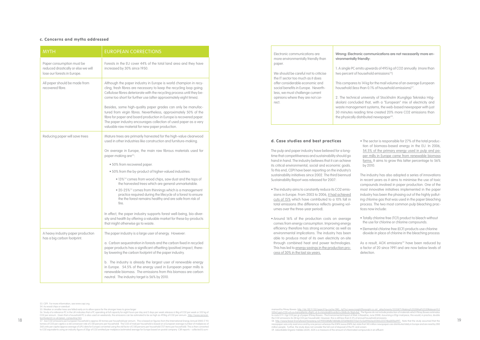| <b>MYTH</b>                                                                                     | <b>EUROPEAN CORRECTIONS</b>                                                                                                                                                                                                                                                                                                   |
|-------------------------------------------------------------------------------------------------|-------------------------------------------------------------------------------------------------------------------------------------------------------------------------------------------------------------------------------------------------------------------------------------------------------------------------------|
| Paper consumption must be<br>reduced drastically or else we will<br>lose our forests in Europe. | Forests in the EU cover 44% of the total land area and they have<br>increased by 30% since 1950.                                                                                                                                                                                                                              |
| All paper should be made from<br>recovered fibre.                                               | Although the paper industry in Europe is world champion in recy-<br>cling, fresh fibres are necessary to keep the recycling loop going.<br>Cellulose fibres deteriorate with the recycling process until they be-<br>come too short for further use (after approximately eight times).                                        |
|                                                                                                 | Besides, some high-quality paper grades can only be manufac-<br>tured from virgin fibres. Nevertheless, approximately 50% of the<br>fibre for paper and board production in Europe is recovered paper.<br>The paper industry encourages collection of used paper as a very<br>valuable raw material for new paper production. |
| Reducing paper will save trees                                                                  | Mature trees are primarily harvested for the high-value clearwood<br>used in other industries like construction and furniture-making.                                                                                                                                                                                         |
|                                                                                                 | On average in Europe, the main raw fibrous materials used for<br>paper-making are <sup>53</sup> :                                                                                                                                                                                                                             |
|                                                                                                 | • 50% from recovered paper.                                                                                                                                                                                                                                                                                                   |
|                                                                                                 | .50% from the by-product of higher-valued industries:                                                                                                                                                                                                                                                                         |
|                                                                                                 | . 13% <sup>54</sup> comes from wood chips, saw dust and the tops of<br>the harvested trees which are general unmarketable.                                                                                                                                                                                                    |
|                                                                                                 | • 20-25% <sup>55</sup> comes from thinnings which is a management<br>practice required during the lifecycle of a forest to ensure<br>the the forest remains healthy and are safe from risk of<br>fire.                                                                                                                        |
|                                                                                                 | In effect, the paper industry supports forest well-being, bio-diver-<br>sity and health by offering a valuable market for these by-products<br>that might otherwise go to waste.                                                                                                                                              |
| A heavy industry paper production                                                               | The paper industry is a large user of energy. However:                                                                                                                                                                                                                                                                        |
| has a big carbon footprint.                                                                     | a. Carbon sequestration in forests and the carbon fixed in recycled<br>paper products has a significant offsetting (positive) impact, there-<br>by lowering the carbon footprint of the paper industry.                                                                                                                       |
|                                                                                                 | b. The industry is already the largest user of renewable energy<br>in Europe. 54.5% of the energy used in European paper mills is<br>renewable biomass. The emissions from this biomass are carbon<br>neutral. The industry target is 56% by 2010.                                                                            |

We should be careful not to criticise the IT sector too much as it does offer considerable economic and social benefits in Europe. Neverthless, we must challenge current opinions where they are not correct.

1. A single PC emits upwards of 495 kg of CO2 annually (more than two percent of household emissions<sup>56</sup>)

This compares to 14 kg for the mail volume of an average European household (less than 0.1% of household emissions)<sup>57</sup>.

2. The technical university of Stockholm (Kungliga Tekniska Högskolan) concluded that, with a "European" mix of electricity and waste management systems, the web-based newspaper with just 30 minutes reading time created 20% more CO2 emissions than the physically distributed newspaper<sup>58</sup>.

### c. Concerns and myths addressed

Electronic communications are more environmentally friendly than paper.

**Wrong: Electronic communications are not necessarily more environmentally friendly:**

> As a result, AOX emissions<sup>59</sup> have been reduced by a factor of 20 since 1991 and are now below levels of detection.

### d. Case studies and best practices

The pulp and paper industry have believed for a longtime that competitiveness and sustainability should go hand in hand. The industry believes that it can achieve its critical environmental, social and economic goals. To this end, CEPI have been reporting on the industry's sustainability initiatives since 2002. The third biennual Sustainability Report was released for 2007:

• The industry aims to constantly reduce its CO2 emissions in Europe. From 2003 to 2006, it had achieved cuts of 15% which have contributed to a 10% fall in total emissions (the difference reflects growing volumes over the three-year period).

• Around 16% of the production costs on average comes from energy consumption. Improving energy efficiency therefore has strong economic as well as environmental implications. The industry has been able to produce most of its own electricity on-site through combined heat and power technologies. This has led to energy savings in the production process of 30% in the last six years.

• The sector is responsible for 27% of the total production of biomass-based energy in the EU. In 2006, 54.5% of the primary energy used in pulp and paper mills in Europe came from renewable biomass forms. It aims to grow this latter percentage to 56% by 2010.

The industry has also adopted a series of innovations in recent years as it aims to minimise the use of toxic compounds involved in paper production. One of the most innovative initiatives implemented in the paper industry has been the phasing out of the highly polluting chlorine gas that was used in the paper bleaching process. The two most common pulp bleaching practices now include:

• Totally chlorine free (TCF) product to bleach without the use for chlorine or chlorine compounds.

• Elemental chlorine free (ECF) products use chlorine dioxide in place of chlorine in the bleaching process

53. CEPI. For more information, see www.cepi.org.

54. As wood chips or sawdust

55. Weaker or smaller trees are felled early on to allow space for the stronger trees to grow larger

56. Study of a reference PC in the UK indicates that a PC operating at full capacity for eight hours per day and 5 days per week releases 6.8kg of CO2 per week or 352 kg of CO2 per annum. Given that a household PC is also used on weekends, the emissions can be estimated to be as high as 495kg of CO2 per annum. http://www.zerocarbonfootprint.co.uk/green\_computing.htm

 $18\%$  57. Ave CO2 emissions per European household is approx 20 tonnes per household per annum. This is based on figures from the International Energy Annual 2005 (7.93  $\sim$  58. http://www.forest.f//smy/forest.f//smy/for 57. Ave CO2 emissions per European household is approx 20 tonnes per household per annum. This is based on figures from the International Energy Annual 2005 (7.93 tonnes of CO2 per capita x a std conversion rate of 2.80 persons per household). The CO2 of mail per household is based on a European average number of mailpieces of 260 units per capita (approx average of UPU data for Europe) converted using the std factor of 2.80 persons per household (727 items per household). This is then converted to CO2 equivalents using an industry figure of 20gr of CO2 emitted per mailpiece (estimated average for Europe based on postal company CSR reports – collected & sum-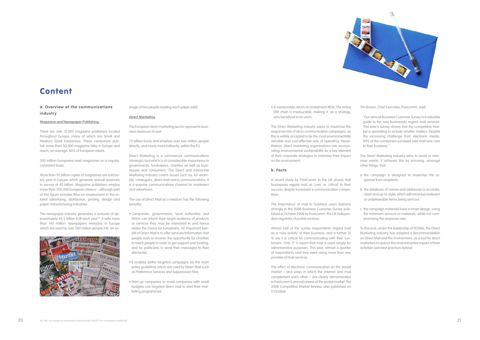

## **Content**

### a. Overview of the communications industry

**Magazine and Newspaper Publishing** 

There are over 15,000 magazine publishers located throughout Europe, many of which are Small and Medium Sized Enterprises. These companies publish more than 50,000 magazine titles in Europe and reach, on average, 80% of European adults.

300 million Europeans read magazines on a regular, consistent basis.

More than 20 billion copies of magazines are sold every year in Europe which generate annual revenues in excess of 40 billion. Magazine publishers employ more than 300,000 European citizens – although part of this figure includes flow-on employment in the related advertising, distribution, printing, design and paper manufacturing industries.

The newspaper industry generates a turnover of approximately 43.5 billion EUR each year<sup>60</sup>. It sells more than 140 million newspapers everyday in Europe which are read by over 280 million people (nb: an av-



erage of two people reading each paper sold).

### **Direct Marketing**

The European direct marketing sector represents business revenues of over

75 billion Euros and employs over two million people directly, and many more indirectly, within the EU.

Direct Marketing is a commercial communications (strategic) tool which is of considerable importance to governments, fundraisers, charities as well as businesses and consumers. The Direct and Interactive Marketing Industry covers issues such as, for example, catalogues, direct mail and e-communications. It is a popular communications channel for marketers and advertisers.

The use of Direct Mail as a medium has the following benefits:

- Companies, governments, local authorities and NGOs can inform their target audience of products or services they may be interested in and hence widen the choice for Europeans. An important benefit of Direct Mail is to offer services/information that people wish to receive; the opportunity for charities to reach people in order to get support and funding, and for politicians to send their messages to their electorate;
- It enables better targeted campaigns via the main policy guidelines which are used by Direct Mail such as Preference Services and Suppression Files;
- Start-up companies or small companies with small budgets use targeted direct mail to start their marketing programmes.

• A measurable return on investment (ROI). The entire DM chain is measurable, making it, as a strategy, very beneficial to its users.

The Direct Marketing industry seeks to maximise the response rate of all its communication campaigns, as this is widely accepted to be the most environmentally sensible and cost-effective way of operating. Nevertheless, direct marketing organisations are incorporating environmental sustainability as a key element of their corporate strategies to minimise their impact on the environment.

### b. Facts

A recent study by PostComm in the UK shows that businesses regard mail as 'core' or 'critical' to their success despite increased e-communication competition.

The importance of mail to business users features strongly in the 2008 Business Customer Survey published in October 2008 by Postcomm, the UK independent regulator of postal services.

Almost half of the survey respondents regard mail as a 'core activity' of their business, and a further 31 % say it is critical for communicating with their customers. Only 17 % report that mail is used simply for administrative purposes. This year, almost a quarter of respondents said they were using more than one provider of mail services.

The effect of electronic communication on the postal market – and ways in which the internet and mail complement each other – are clearly demonstrated in Postcomm's annual review of the postal market, the 2008 Competitive Market Review, also published on 2 October.

Tim Brown, Chief Executive, Postcomm, said:

"Our annual Business Customer Survey is a valuable guide to the way businesses regard mail services. This year's survey shows that the competitive market is spreading to include smaller mailers. Despite the increasing challenge from electronic media, 49% of the companies surveyed said mail was core to their business."

The Direct Marketing industry aims to avoid or minimise waste. It achieves this by ensuring, amongst other things, that:

- a. the campaign is designed to maximise the response from recipients.
- b. the database of names and addresses is accurate, clean and up-to-date, which will minimise irrelevant or undeliverable items being sent out.
- c. the campaign materials have a smart design, using the minimum amount of materials, while not compromising the response rate.

To this end, under the leadership of FEDMA, the Direct Marketing industry has adopted a Recommendation on Direct Mail and the Environment, as a tool for direct marketers to reduce the environmental impact of their activities (see best practices below).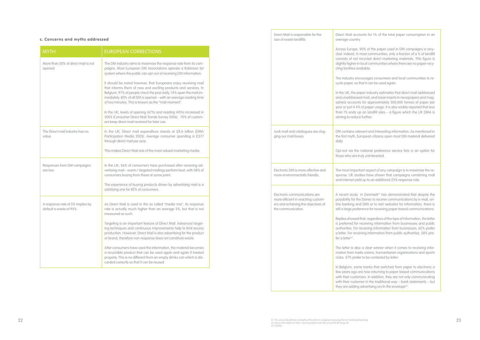| <b>MYTH</b>                                                 | <b>EUROPEAN CORRECTIONS</b>                                                                                                                                                                                                                                                                                                          |
|-------------------------------------------------------------|--------------------------------------------------------------------------------------------------------------------------------------------------------------------------------------------------------------------------------------------------------------------------------------------------------------------------------------|
| More than 30% of direct mail is not<br>opened               | The DM industry aims to maximise the response rate from its cam-<br>paigns. Most European DM Associations operate a Robinson list<br>system where the public can opt-out of receiving DM information.                                                                                                                                |
|                                                             | It should be noted however, that Europeans enjoy receiving mail<br>that informs them of new and exciting products and services. In<br>Belgium, 97% of people check the post daily, 74% open the mail im-<br>mediately. 80% of all DM is opened - with an average reading time<br>of two minutes. This is known as the "mail moment". |
|                                                             | In the UK, levels of opening (67%) and reading (45%) increased in<br>2005 (Consumer Direct Mail Trends Survey 2006). 70% of custom-<br>ers keep direct mail received for later use.                                                                                                                                                  |
| The Direct mail industry has no<br>value                    | In the UK, Direct mail expenditure stands at £8.6 billion (DMA<br>Participation Media 2005). Average consumer spending is £577<br>through direct mail per year.                                                                                                                                                                      |
|                                                             | This makes Direct Mail one of the most valued marketing media.                                                                                                                                                                                                                                                                       |
| Responses from DM campaigns<br>are low.                     | In the UK, 56% of consumers have purchased after receiving ad-<br>vertising mail - warm / targeted mailings perform best, with 38% of<br>consumers buying from these at some point.                                                                                                                                                  |
|                                                             | The experience of buying products driven by advertising mail is a<br>satisfying one for 82% of consumers.                                                                                                                                                                                                                            |
| A response rate of 5% implies by<br>default a waste of 95%. | As Direct Mail is used in the so called "media mix", its response<br>rate is actually much higher than an average 5%, but that is not<br>measured as such.                                                                                                                                                                           |
|                                                             | Targeting is an important feature of Direct Mail. Advanced target-<br>ing techniques and continuous improvements help to limit excess<br>production. However, Direct Mail is also advertising for the product<br>or brand, therefore non-response does not constitute waste.                                                         |
|                                                             | After consumers have used the information, the material becomes<br>a recyclable product that can be used again and again if treated<br>properly. This is no different from an empty drinks can which is dis-<br>carded correctly so that it can be reused.                                                                           |

### c. Concerns and myths addressed

ts for 1% of the total paper consumption in an

of the paper used in DM campaigns is recyist communities, only a fraction of a % of landfill ycled direct marketing materials. This figure is cal communities where there are no paper-recyable.

rages consumers and local communities to ret it can be used again.

r industry estimates that direct mail (addressed nail, and loose inserts in newspapers and magor approximately 500,000 tonnes of paper per paper usage. It is also widely reported that less In landfill sites – a figure which the UK DMA is rther.

Int and interesting information. As mentioned in pean citizens open most DM material delivered

tional preference service lists is an option for uninterested.

t aspect of any campaign is to maximize the res have shown that campaigns combining mail p to an additional 25% response rate.

Denmark<sup>61</sup> has demonstrated that despite the anes to receive communications by e-mail, on-MS or to visit websites for information, there is nce for receiving paper based communications.

t, regardless of the type of information, the letter eiving information from businesses and public eiving information from businesses, 62% prefer g information from public authorities, 58% pre-

clear winner when it comes to receiving inforunions, humanitarian organisations and sports be contacted by letter.

banks that switched from paper to electronic a now returning to paper based communications is. In addition, they are not only communicating in the traditional way – bank statements – but they are adding advertising on/in the envelope<sup>63</sup>.

| Direct Mail is responsible for the<br>size of waste landfills                                                                    | Direct Mail account:<br>average country.                                                                                                                                |
|----------------------------------------------------------------------------------------------------------------------------------|-------------------------------------------------------------------------------------------------------------------------------------------------------------------------|
|                                                                                                                                  | Across Europe, 90%<br>cled. Indeed, in mos<br>consists of not recy<br>slightly higher in loco<br>cling facilities availa                                                |
|                                                                                                                                  | The industry encour<br>cycle paper, so that                                                                                                                             |
|                                                                                                                                  | In the UK, the paper<br>and unaddressed m<br>azines) accounts fo<br>year or just 4.4% of p<br>than 1% ends up or<br>aiming to reduce fur                                |
| Junk mail and catalogues are clog-<br>ging our mail boxes                                                                        | DM contains relevar<br>the first myth, Europ<br>daily.                                                                                                                  |
|                                                                                                                                  | Opt-out via the nat<br>those who are truly                                                                                                                              |
| Electronic DM is more effective and<br>more environmentally friendly.                                                            | The most important<br>sponse. UK studies<br>and internet yield up                                                                                                       |
| Electronic communications are<br>more efficient in reaching custom-<br>ers and achieving the objectives of<br>the communication. | A recent study in D<br>possibility for the Do<br>line banking and S/<br>still a large preferen<br>Replies showed that<br>is preferred for rece<br>authorities. For rece |
|                                                                                                                                  | a letter. For receiving<br>fer a letter <sup>62</sup> .                                                                                                                 |
|                                                                                                                                  | The letter is also a<br>mation from trade u<br>clubs. 57% prefer to                                                                                                     |
|                                                                                                                                  | In Belgium, some b<br>few years ago are n<br>with their customers<br>with their customer                                                                                |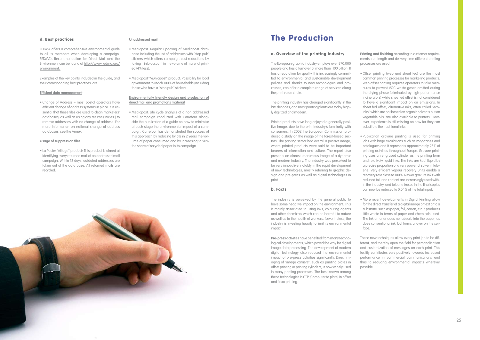

### d. Best practices

FEDMA offers a comprehensive environmental guide to all its members when developing a campaign. FEDMA's Recommendation for Direct Mail and the Environment can be found at http://www.fedma.org/ environment.

Examples of the key points included in the guide, and their corresponding best practices, are:

#### **Efficient data management**

• Change of Address – most postal operators have efficient change of address systems in place. It is essential that these files are used to clean marketers' databases, as well as using any returns ("nixies") to remove addresses with no change of address. For more information on national change of address databases, see the Annex.

#### **Usage of suppression files**

• La Poste: "Alliage" product: This product is aimed at identifying every returned mail of an addressed mail campaign. Within 12 days, outdated addresses are taken out of the data base. All returned mails are recycled.

#### **Unaddressed mail**

- Mediapost: Regular updating of Mediapost database including the list of addresses with 'stop pub' stickers which offers campaign cost reductions by taking it into account in the volume of material printed (4% less).
- Mediapost "Municipost" product: Possibility for local government to reach 100% of households (including those who have a "stop pub" sticker).

### **Environmentally friendly design and production of direct mail and promotions material**

• Mediapost: Life cycle analysis of a non addressed mail campaign conducted with Carrefour alongside the publication of a guide on how to minimise at each stage the environmental impact of a campaign. Carrefour has demonstrated the success of this approach by reducing by 5% in 2 years the volume of paper consumed and by increasing to 90% the share of recycled paper in its campaign.

## The Production

#### a. Overview of the printing industry

The European graphic industry employs over 870,000 people and has a turnover of more than €00 billion. It has a reputation for quality. It is increasingly committed to environmental and sustainable development policies and, thanks to new technologies and processes, can offer a complete range of services along the print value chain.

The printing industry has changed significantly in the last decades, and most printing plants are today highly digitized and modern.

Printed products have long enjoyed a generally positive image, due to the print industry's familiarity with consumers. In 2002 the European Commission produced a study on the image of the forest-based sectors. The printing sector had overall a positive image, where printed products were said to be important bearers of information and culture. The report also presents an almost unanimous image of a dynamic and modern industry. The industry was perceived to be very innovative, notably in the rapid development of new technologies, mostly referring to graphic design and pre-press as well as digital technologies in print.

### b. Facts

The industry is perceived by the general public to have some negative impact on the environment. This is mainly associated to using inks, colouring agents and other chemicals which can be harmful to nature as well as to the health of workers. Nevertheless, the industry is investing heavily to limit its environmental impact:

**Pre-press** activities have benefited from many technological developments, which paved the way for digital image data processing. The development of modern digital technology also reduced the environmental impact of pre-press activities significantly. Direct imaging of "image carriers", such as printing plates in offset printing or printing cylinders, is now widely used in many printing processes. The best known among these technologies is CTP (Computer to plate) in offset and flexo printing.

**Printing and finishing** according to customer requirements, run length and delivery time different printing processes are used.

• Offset printing (web and sheet fed) are the most common printing processes for marketing products. Web offset printing requires operators to take measures to prevent VOC waste gases emitted during the drying phase (eliminated by high-performance incinerators) while sheetfed offset is not considered to have a significant impact on air emissions. In sheet fed offset, alternative inks, often called "ecoinks" which are not based on organic solvents but on vegetable oils, are also available to printers. However, experience is still missing on how far they can substitute the traditional inks.

• Publication gravure printing is used for printing jobs with large circulations such as magazines and catalogues and it represents approximately 25% of printing activities throughout Europe. Gravure printing uses an engraved cylinder as the printing form and relatively liquid inks. The inks are kept liquid by a precise proportion of a very powerful solvent, toluene. Very efficient vapour recovery units enable a recovery rate close to 100%. Newer gravure inks with reduced toluene content are increasingly used within the industry, and toluene traces in the final copies can now be reduced to 0.04% of the total input.

• More recent developments in Digital Printing allow for the direct transfer of a digital image or text onto a substrate, such as paper, foil, carton, etc. It produces little waste in terms of paper and chemicals used. The ink or toner does not absorb into the paper, as does conventional ink, but forms a layer on the surface.

These new techniques allow every print job to be different, and thereby open the field for personalisation and customization of messages on each print. This facility contributes very positively towards increased performance in commercial communications and thus to reducing environmental impacts wherever possible.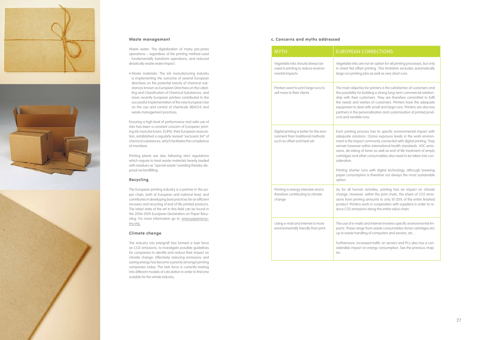





### Waste management

Waste water: The digitalization of many pre-press operations – regardless of the printing method used - fundamentally transform operations, and reduced drastically waste water impact.

• Waste materials: The ink manufacturing industry is implementing the outcome of several European directives on the potential toxicity of chemical sub stances known as European Directives on the Label ling and Classification of Chemical Substances, and more recently European printers contributed to the successful implementation of the new European law on the use and control of chemicals (REACH) and waste management practices.

Ensuring a high level of performance and safe use of inks has been a constant concern of European print ing ink manufacturers. EUPIA, their European associa tion, established a regularly revised "exclusion list" of chemical substances, which facilitates the compliance of members.

Printing plants are also following strict regulations which require to treat waste materials heavily loaded with residues as "special waste" avoiding thereby dis posal via landfilling.

### Recycling

The European printing industry is a partner in the pa per chain, both at European and national level, and contributes in developing best practices for an efficient recovery and recycling of end of life printed products. The latest state of the art in this field can be found in the 2006-2010 European Declaration on Paper Recy cling. For more information go to: www.paperrecovery.org.

### Climate change

ess has its specific environmental impact with adequate solutions. Ozone exposure levels in the work environ commonly connected with digital printing. They remain however within international health standards. VOC emis toner as well as end of life treatment of empty cartridges and other consumables also need to be taken into con -

> ns with digital technology, although lowering n is therefore not always the most sustainable

activities, printing has an impact on climate change. However, within the print chain, the share of CO2 emis stram prints and amounts to only 10-20% of the entire finished product. Printers work in cooperation with suppliers in order to re is along the entire value chain.

The industry (via Intergraf) has formed a task force on CO2 emissions, to investigate possible guidelines for companies to identify and reduce their impact on climate change. Effectively reducing emissions and saving energy has become a priority amongst printing companies today. The task force is currently looking into different models of calculation in order to find one suitable for the whole industry.

The use of e-mails and internet involves specific environmental im from waste consumables (toner cartridges etc) ng of computers and servers, etc...

| <b>MYTH</b>                                                                                                 | <b>EUROPEAN C</b>                                                                                                                                                                                         |
|-------------------------------------------------------------------------------------------------------------|-----------------------------------------------------------------------------------------------------------------------------------------------------------------------------------------------------------|
| Vegetable inks should always be<br>used in printing to reduce environ-<br>mental impacts                    | Vegetable inks are r<br>in sheet fed offset<br>large run printing jo                                                                                                                                      |
| Printers want to print large runs to<br>sell more to their clients                                          | The main objective<br>the possibility for bu<br>ship with their cust<br>the needs and wis<br>equipment to deal<br>partners in the pers<br>ucts and variable ru                                            |
| Digital printing is better for the envi-<br>ronment than traditional methods<br>such as offset and heat set | Each printing proce<br>adequate solutions<br>ment is the impact<br>remain however wi<br>sions, de-inking of<br>cartridges and othe<br>sideration.<br>Printing shorter rur<br>paper consumptior<br>option. |
| Printing is energy intensive and is<br>therefore contributing to climate<br>change                          | As for all human<br>change. However,<br>sions from printing<br>product. Printers wo<br>duce CO2 emission                                                                                                  |
| Using e-mail and internet is more<br>environmentally friendly than print.                                   | The use of e-mails o<br>pacts. These range<br>up to waste handlin<br>Furthermore, increc<br>siderable impact or<br>ter.                                                                                   |

### ORRECTIONS

not an option for all printing processes, but only printing. This limitation excludes automatically large run printing short runs.

for printers is the satisfaction of customers and the possibility for building a strong long-term commercial relation tomers. They are therefore committed to fulfil thes of customers. Printers have the adequate with small and large runs. Printers are also key partners in the personalisation and customisation of printed prod uns.

Furthermore, increased traffic on servers and PCs also has a con siderable impact on energy consumption. See the previous chap -

### c. Concerns and myths addressed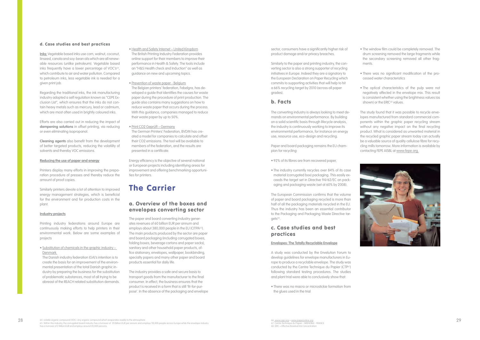### d. Case studies and best practices

**Inks:** Vegetable based inks use corn, walnut, coconut, linseed, canola and soy-bean oils which are all renewable resources (unlike petroleum). Vegetable based inks frequently have a lower percentage of VOC's<sup>64</sup>, which contribute to air and water pollution. Compared to petroleum inks, less vegetable ink is needed for a given print job.

Regarding the traditional inks, the ink manufacturing industry adopted a self regulation known as "CEPE Exclusion List", which ensures that the inks do not contain heavy metals such as mercury, lead or cadmium, which are most often used in brightly coloured inks.

Efforts are also carried out in reducing the impact of **dampening solutions** in offset printing, via reducing or even eliminating isopropanol.

**Cleaning agents** also benefit from the development of better targeted products, reducing the volatility of solvents and thereby VOC emissions.

#### **Reducing the use of paper and energy**

Printers display many efforts in improving the preparation procedure of presses and thereby reduce the amount of proof copies.

Similarly printers devote a lot of attention to improved energy management strategies, which is beneficial for the environment and for production costs in the plant.

### **Industry projects**

Printing industry federations around Europe are continuously making efforts to help printers in their environmental work. Below are some examples of projects

• Substitution of chemicals in the graphic industry – Denmark

The Danish industry federation (GA)'s intention is to create the basis for an improvement of the environmental presentation of the total Danish graphic industry by preparing the business for the substitution of problematic substances, most of all trying to be abreast of the REACH related substitution demands.

- Health and Safety Internet United Kingdom The British Printing Industry Federation provides online support for their members to improve their performance in Health & Safety. The tools include an "H&S Health check and Induction" as well as guidance on new and upcoming topics.
- Prevention of waste paper Belgium The Belgian printers' federation, Febelgra, has developed a guide that identifies the causes for waste paper during the procedure of print production. The guide also contains many suggestions on how to reduce waste paper that occurs during the process. With this guidance, companies managed to reduce their waste paper by up to 50%.
- Print CO2 Geprüft Germany The German Printers' Federation, BVDM has created a model for companies to calculate and offset their CO2 emissions. The tool will be available to

The European Commission confirms that the volume of paper and board packaging recycled is more than half of all the packaging materials recycled in the EU. Thus the industry has been an essential contributor to the Packaging and Packaging Waste Directive targets<sup>66</sup>.

members of the federation, and the results are presented in a certificate.

• The window film could be completely removed. The drum screening removed the large fragments while the secondary screening removed all other fragments.

Energy efficiency is the objective of several national or European projects including identifying areas for improvement and offering benchmarking opportunities for printers.

• The optical characteristics of the pulp were not negatively affected in the envelope mix. This result is consistent whether using the brightness values (as shown) or the ERIC<sup>68</sup> values.

## The Carrier

### a. Overview of the boxes and envelopes converting sector

The paper and board converting industry generates revenues of 60 billion EUR per annum and employs about 380,000 people in the EU (CITPA<sup>65</sup>). The main products produced by the sector are paper and board packaging (including corrugated boxes, folding boxes, beverage cartons and paper sacks), sanitary and other household paper products, office stationary, envelopes, wallpaper, bookbinding, specialty papers and many other paper and board products essential for daily life.

0 64. volatile organic compound (VOC): Any organic compound which evaporates readily to the atmosphere.<br>65. Within this industry, the corrugated board industry has a turnover of 20 Billion EUR per annum and employs 98,000 has a turnover of 2 Billion EUR and employs around 20,000 persons.

The industry provides a safe and secure basis to transport goods from the manufacturer to the final consumer. In effect, the business ensures that the product is received in a form that is still 'fit-for-purpose'. In the absence of the packaging and envelope sector, consumers have a significantly higher risk of product damage and/or privacy breaches.

Similarly to the paper and printing industry, the converting sector is also a strong supporter of recycling initiatives in Europe. Indeed they are a signatory to the European Declaration on Paper Recycling which commits to supporting activities that will help to hit a 66% recycling target by 2010 (across all paper grades).

### b. Facts

The converting industry is always looking to meet demands on environmental performance. By building on a solid scientific basis through lifecycle analysis, the industry is continuously working to improve its environmental performance, for instance on energy use, resource use, eco-design and recycling.

Paper and board packaging remains the EU champion for recycling:

- 92% of its fibres are from recovered paper,
- The industry currently recycles over 84% of its case material (corrugated box) packaging. This easily exceeds the target set in Directive 94/62/EC on packaging and packaging waste (set at 60% by 2008).

### c. Case studies and best practices

### **Envelopes: The Totally Recyclable Envelope**

A study was conducted by the Envelution Forum to develop guidelines for envelope manufacturers in Europe to produce a recyclable envelope. The study was conducted by the Centre Technique du Papier (CTP<sup>67</sup>) following standard testing procedures. The studies and plant trial were able to conclusively show that:

• There was no macro or microstickie formation from the glues used in the trial

• There was no significant modification of the processed water characteristics

The study found that it was possible to recycle envelopes manufactured from standard commercial components within the graphic paper recycling stream without any negative impact on the final recycling product. What is considered as unwanted material in the recycled graphic paper stream today can actually be a valuable source of quality cellulose fibre for recycling mills tomorrow. More information is available by contacting FEPE AISBL at www.fepe.org.



66. www.cepi.org + www.paperonline.org 67. Centre Technique du Papier - GRENOBLE - FRANCE 68. ERIC = Effective Residual Ink Concentration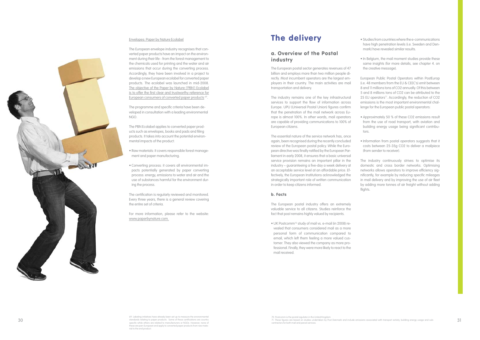The European envelope industry recognises that con verted paper products have an impact on the environ ment during their life - from the forest management to the chemicals used for printing and the water and air emissions that occur during the converting process. Accordingly, they have been involved in a project to develop a new European ecolabel for converted paper products. The ecolabel was launched in mid-2008. The objective of the Paper by Nature ('PBN') Ecolabel is to offer the first clear and trustworthy reference for European consumers of converted paper products 69.

### Envelopes: Paper by Nature Ecolabel

The programme and specific criteria have been de veloped in consultation with a leading environmental NGO.

### a. Overview of the Postal **industry**

The PBN Ecolabel applies to converted paper prod ucts such as envelopes, books and pads and filing products. It takes into account the potential environ mental impacts of the product:

- Raw materials: it covers responsible forest manage ment and paper manufacturing.
- Converting process: it covers all environmental im pacts potentially generated by paper converting process: energy, emissions to water and air and the use of substances harmful for the environment during the process.

The certification is regularly reviewed and monitored. Every three years, there is a general review covering the entire set of criteria.

For more information, please refer to the website: www.paperbynature.com.

## The delivery

• UK Postcomm<sup>70</sup> study of mail vs. e-mail (in 2008) revealed that consumers considered mail as a more personal form of communication compared to email, which left them feeling a more valued cus tomer. They also viewed the company as more pro fessional. Finally, they were more likely to react to the mail received.

- Studies from countries where the e-communications have high penetration levels (i.e. Sweden and Den mark) have revealed similar results.
- In Belgium, the mail moment studies provide these same insights (for more details, see chapter 4. on the creative message).
- European Public Postal Operators within PostEurop (i.e. 48 members from the EU & CEEC's) emit between 8 and 11 millions tons of CO2 annually. Of this between 5 and 8 millions tons of CO2 can be attributed to the 25 EU operators<sup>71</sup>. Accordingly, the reduction of CO2 emissions is the most important environmental chal lenge for the European public postal operators:
- Approximately 50 % of these CO2 emissions result from the use of road transport, with aviation and building energy usage being significant contribu tors.
- Information from postal operators suggests that it costs between 25-35g CO2 to deliver a mailpiece (from sender to receiver).
- The industry continuously strives to optimise its domestic and cross border networks. Optimising networks allows operators to improve efficiency sig nificantly, for example by reducing specific mileages in mail delivery and by improving the use of air fleet by adding more tonnes of air freight without adding flights.

The European postal sector generates revenues of 47 billion and employs more than two million people di rectly. Most incumbent operators are the largest em ployers in their country. The main activities are mail transportation and delivery.

The industry remains one of the key infrastructural services to support the flow of information across Europe. UPU (Universal Postal Union) figures confirm that the penetration of the mail network across Eu rope is almost 100%. In other words, mail operators are capable of providing communications to 100% of European citizens.

The essential nature of the service network has, once again, been recognised during the recently concluded review of the European postal policy. While the Euro pean directive was finally ratified by the European Parliament in early 2008, it ensures that a basic universal service provision remains an important pillar in the industry – guaranteeing a five-day a week delivery at an acceptable service level at an affordable price. Ef fectively, the European Institutions acknowledged the strategically important role of written communication in order to keep citizens informed.



### b. Facts

The European postal industry offers an extremely valuable service to all citizens. Studies reinforce the fact that post remains highly valued by recipients.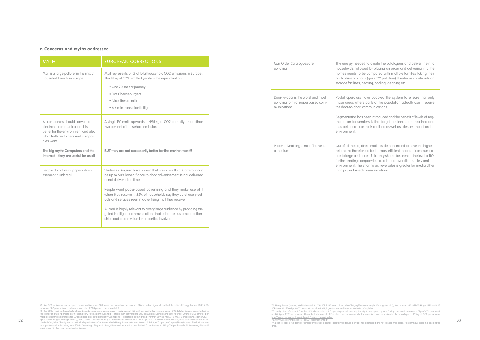| <b>MYTH</b>                                                                                                                                                                                                                           | <b>EUROPEAN CORRECTIONS</b>                                                                                                                                                                                                                                                                                                                                                                                                                                                                                                                                         |
|---------------------------------------------------------------------------------------------------------------------------------------------------------------------------------------------------------------------------------------|---------------------------------------------------------------------------------------------------------------------------------------------------------------------------------------------------------------------------------------------------------------------------------------------------------------------------------------------------------------------------------------------------------------------------------------------------------------------------------------------------------------------------------------------------------------------|
| Mail is a large polluter in the mix of<br>household waste in Europe                                                                                                                                                                   | Mail represents 0.1% of total household CO2 emissions in Europe.<br>The 14 kg of CO2 emitted yearly is the equivalent of :<br>• One 70 km car journey<br>· Five Cheeseburgers<br>• Nine litres of milk<br>· 6.6 min transatlantic flight                                                                                                                                                                                                                                                                                                                            |
| All companies should convert to<br>electronic communication. It is<br>better for the environment and also<br>what both customers and compa-<br>nies want.<br>The big myth: Computers and the<br>internet - they are useful for us all | A single PC emits upwards of 495 kg of CO2 annually - more than<br>two percent of household emissions.<br>BUT they are not necessarily better for the environment!!                                                                                                                                                                                                                                                                                                                                                                                                 |
| People do not want paper adver-<br>tisement / junk mail                                                                                                                                                                               | Studies in Belgium have shown that sales results at Carrefour can<br>be up to 50% lower if door-to-door advertisement is not delivered<br>or not delivered on time.<br>People want paper-based advertising and they make use of it<br>when they receive it. 52% of households say they purchase prod-<br>ucts and services seen in advertising mail they receive.<br>All mail is highly relevant to a very large audience by providing tar-<br>geted intelligent communications that enhance customer relation-<br>ships and create value for all parties involved. |

| Mail Order Catalogues are<br>polluting                                                  | The energy needed<br>households, followe<br>homes needs to be<br>car to drive to shops<br>storage facilities, hed                                          |
|-----------------------------------------------------------------------------------------|------------------------------------------------------------------------------------------------------------------------------------------------------------|
| Door-to-door is the worst and most<br>polluting form of paper based com-<br>munications | Postal operators ha<br>those areas where p<br>the door-to-door cor<br>Segmentation has be<br>mentation for sende<br>thus better cost contr<br>environment. |
| Paper advertising is not effective as<br>a medium                                       | Out of all media, dire<br>return and therefore<br>tion to large audience<br>for the sending comp<br>environment. The eff<br>than paper based co            |

### c. Concerns and myths addressed

72. Ave CO2 emissions per European household is approx 20 tonnes per household per annum. This based on figures from the International Energy Annual 2005 (7.93 tonnes of CO2 per capita x a std conversion rate of 2.80 persons per household).

32 33 73. The CO2 of mail per household is based on a European average number of mailpieces of 260 units per capita ((approx average of UPU data for Europe) converted using<br>the std factor of 2.80 persons per household (727 items <u>clnk&cd=1&gl=be). The figures do not include production of materials which Pitney Bowes estimates to costs 0.9-1.3gr CO2 per gr of paper (Pitney Bowes - The Environmen-<br>t<u>al Impact of Mail: A</u> Baseline, June 2008). Assumi</u>

74. Pitney Bowes (Making Mail Relevant) http://66.102.9.132/search?q=cache:OlIQ\_-lq73oJ:www.insight2foresight.co.uk/\_attachments/3335871/Making%2520Mail%25 20Relevant%2520v2.ppt+CO2+of+a+transatlantic+flight.+6.6+minutes&hl=en&d=clnk&cd=1&gl=bel.<br>75. Study of a reference PC in the UK indicates that a PC operating at full capacity for eight hours per ally s<br>or 352 kg of CO2 pe http://www.zerocarbonfootprint.co.uk/green\_computing.htm 76. www.usps.com/directmail/\_pdf/04MailMoment.pdf 77. Door-to-door is the delivery technique whereby a postal operator will deliver identical non addressed and not franked mail pieces to every household in a designated area.

to create the catalogues and deliver them to ed by placing an order and delivering it to the compared with multiple families taking their care to drive to solid to drive to some trains of ating, cooling, cleaning etc.

ave adapted the system to ensure that only parts of the population actually use it receive mmunications.

een introduced and the benefit of levels of segers is that target audiences are reached and rol is realised as well as a lesser impact on the

ect mail has demonstrated to have the highest to be the most efficient means of communicates. Efficiency should be seen on the level of ROI pany but also impact overall on society and the fort to achieve sales is greater for media other ommunications.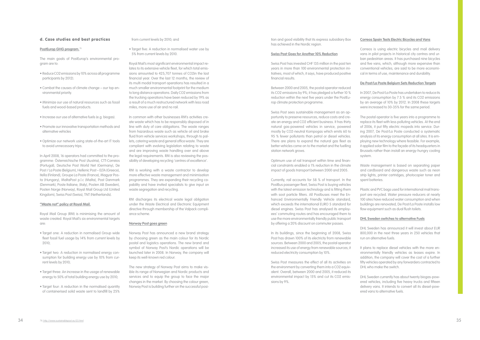### d. Case studies and best practices

#### **PostEurop GHG program.**<sup>78</sup>

The main goals of PostEurop's environmental program are to:

- Reduce CO2 emissions by 10% across all programme participants by 2012).
- Combat the causes of climate change our top environmental priority.
- Minimize our use of natural resources such as fossil fuels and wood-based products.
- Increase our use of alternative fuels (e.g. biogas).
- Promote our innovative transportation methods and alternative vehicles
- Optimize our network using state-of-the-art IT tools to avoid unnecessary trips.

In April 2008, 16 operators had committed to the programme: Österreichische Post (Austria), CTT-Correios (Portugal), Deutsche Post World Net (Germany), De Post / La Poste (Belgium), Hellenic Post – ELTA (Greece), Itella (Finland), Groupe La Poste (France), Magyar Posta (Hungary), MaltaPost p.l.c (Malta), Post Danmark (Denmark), Poste Italiane, (Italy), Posten AB (Sweden), Posten Norge (Norway), Royal Mail Group Ltd (United Kingdom), Swiss Post (Swiss), TNT (Netherlands).

#### **"Waste not" policy at Royal Mail.**

Royal Mail Group (RM) is minimising the amount of waste created. Royal Mail's six environmental targets are:

- Target one: A reduction in normalised Group wide fleet fossil fuel usage by 14% from current levels by 2010;
- Target two: A reduction in normalised energy consumption for building energy use by 10% from current levels by 2010;
- Target three: An increase in the usage of renewable energy to 50% of total building energy use by 2010;
- Target four: A reduction in the normalised quantity of containerised solid waste sent to landfill by 25%

#### from current levels by 2010; and

• Target five: A reduction in normalised water use by 5% from current levels by 2010.

Royal Mail's most significant environmental impact relates to its extensive vehicle fleet, for which total emissions amounted to 425,707 tonnes of CO2in the last financial year. Over the last 12 months, the review of its multi modal transport operations has resulted in a much smaller environmental footprint for the medium to long distance operations. Daily CO2 emissions from the trucking operations have been reduced by 19% as a result of a much restructured network with less road miles, more use of air and no rail.

In common with other businesses RM's activities create waste which has to be responsibly disposed of in line with duty of care obligations. The waste ranges from hazardous waste such as vehicle oil and brake fluid from vehicle services workshops, through to pallets, catering waste and general office waste. They are compliant with evolving legislation relating to waste and are improving waste handling over and above the legal requirements. RM is also reviewing the possibility of developing recycling 'centres of excellence'.

RM is working with a waste contractor to develop more effective waste management and minimisation programmes. They are expanding their recycling capability and have invited specialists to give input on waste segregation and recycling.

RM discharges its electrical waste legal obligation under the Waste Electrical and Electronic Equipment directive through membership of the Valpack compliance scheme.

#### **Norway Post goes green**

Norway Post has announced a new brand strategy by choosing green as the main colour for its Nordic postal and logistics operations. The new brand and symbol of Norway Post's Nordic operations will be launched later in 2008. In Norway, the company will keep its well-known red colour.

Waste management is based on separating paper and cardboard and dangerous waste such as neon strip lights, printer cartridges, photocopier toner and spent batteries.

The new strategy of Norway Post aims to make visible its range of Norwegian and Nordic products and services and to equip the group to face the major changes in the market. By choosing the colour green, Norway Post is building further on the successful position and good visibility that its express subsidiary Box has achieved in the Nordic region.

#### **Swiss Post Goes for Another 10% Reduction**

Swiss Post has invested CHF 135 million in the past ten years in more than 100 environmental protection initiatives, most of which, it says, have produced positive financial results.

Between 2000 and 2005, the postal operator reduced its CO2 emissions by 9%; it has pledged a further 10 % reduction within the next five years under the PostEurop climate protection programme.

Swiss Post sees sustainable management as an opportunity to preserve resources, reduce costs and create an energy and CO2 efficient business. It has thirty natural gas-powered vehicles in service, powered mostly by CO2-neutral Kompogas which emits 60 to 95 % fewer pollutants than petrol or diesel vehicles. There are plans to expand the natural gas fleet as better vehicles come on to the market and the fuelling station network grows.

Optimum use of rail transport within time and financial constraints enabled a 1% reduction in the climate impact of goods transport between 2000 and 2005.

Currently, rail accounts for 58 % of transport. In the PostBus passenger fleet, Swiss Post is buying vehicles with the latest emission technology and is fitting them with soot particle filters. All Postbuses meet the Enhanced Environmentally Friendly Vehicle standard, which exceeds the international EURO 5 standard for diesel engines. Swiss Post has analysed its employees' commuting routes and has encouraged them to use the more environmentally friendly public transport by offering a 20% discount on commuter passes.

In its buildings, since the beginning of 2008, Swiss Post has drawn 100% of its electricity from renewable sources. Between 2000 and 2005, the postal operator increased its use of energy from renewable sources; it reduced electricity consumption by 10%.

Swiss Post measures the effect of all its activities on the environment by converting them into a CO2 equivalent. Overall, between 2000 and 2005, it reduced its environmental impact by 15% and cut its CO2 emissions by 9%.

### **Correos Spain Tests Electric Bicycles and Vans**

Correos is using electric bicycles and mail delivery vans in pilot projects in historical city centres and urban pedestrian areas. It has purchased nine bicycles and five vans, which, although more expensive than conventional vehicles, are said to be more economical in terms of use, maintenance and durability.

### **De Post/La Poste Belgium Sets Reduction Targets**

In 2007, De Post/La Poste has undertaken to reduce its energy consumption by 7.5 % and its CO2 emissions by an average of 10% by 2012. In 2008 these targets were increased to 30-35% for the same period.

The postal operator is five years into a programme to replace its fleet with less polluting vehicles. At the end of 2006, it put fifty electric mopeds into service. During 2007, De Post/La Poste conducted a systematic analysis of its energy consumption at all sites. It is employing new technology where feasible. For example, it applied solar film to the façade of its headquarters in Brussels rather than install an energy-hungry cooling system.

Plastic and PVC bags used for international mail transport are recycled. Water pressure reducers at nearly 100 sites have reduced water consumption and when buildings are renovated, De Post/La Poste installs low flow equipment such as dual flush toilets.

### **DHL Sweden switches to alternative Fuels**

DHL Sweden has announced it will invest about EUR 800,000 in the next three years in 250 vehicles that run on alternative fuels.

It plans to replace diesel vehicles with the more environmentally friendly vehicles as leases expire. In addition, the company will cover the cost of a further fifty vehicles operated by any forwarders contracted to DHL who make the switch.

DHL Sweden currently has about twenty biogas-powered vehicles, including five heavy trucks and fifteen delivery vans. It intends to convert all its diesel-powered vans to alternative fuels.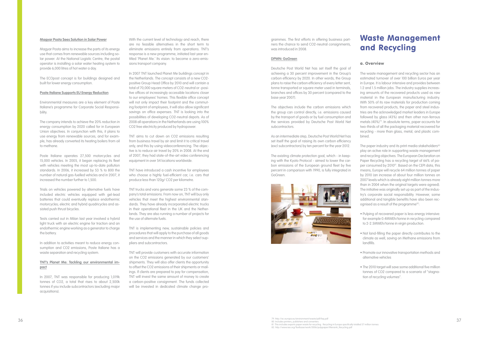#### **Magyar Posta Sees Solution in Solar Power**

Magyar Posta aims to increase the parts of its energy use that comes from renewable sources including solar power. At the National Logistic Centre, the postal operator is installing a solar water heating system to provide 6,000 litres of hot water a day.

The ECOpost concept is for buildings designed and built for lower energy consumption.

#### **Poste Italiane Supports EU Energy Reduction**

Environmental measures are a key element of Poste Italiane's programme for Corporate Social Responsibility.

The company intends to achieve the 20% reduction in energy consumption by 2020 called for in European Union objectives. In conjunction with this, it plans to use energy from renewable sources, and for example, has already converted its heating boilers from oil to methane.

Poste Italiane operates 27,500 motorcycles and 15,000 vehicles. In 2005, it began replacing its fleet with vehicles meeting the most up-to-date pollution standards. In 2006, it increased by 53 % to 800 the number of natural gas-fuelled vehicles and in 2007, it increased the number further to 1,500.

Trials on vehicles powered by alternative fuels have included electric vehicles equipped with gel-lead batteries that could eventually replace endothermic motorcycles; electric and hybrid quadricycles and assisted push thrust bicycles.

Tests carried out in Milan last year involved a hybrid light truck with an electric engine for traction and an endothermic engine working as a generator to charge the battery.

In addition to activities meant to reduce energy consumption and CO2 emissions, Poste Italiane has a waste separation and recycling system.

### **TNT's Planet Me: Tackling our environmental impact**

In 2007, TNT was responsible for producing 1,019k tonnes of CO2, a total that rises to about 2,500k tonnes if you include subcontractors (excluding major acquisitions).

With the current level of technology and reach, there are no feasible alternatives in the short term to eliminate emissions entirely from operations. TNT's response is a new programme, initiated last year entitled 'Planet Me.' Its vision: to become a zero-emissions transport company.

In 2007 TNT launched Planet Me buildings concept in the Netherlands. The concept consists of a new CO2 positive Group Head Office by 2010 and will contain a total of 70,000 square meters of CO2-neutral or -positive offices at increasingly accessible locations closer to our employees' homes. This flexible office concept will not only impact their footprint and the commuting footprint of employees, it will also allow significant savings on office expenses. TNT is looking into the possibilities of developing CO2-neutral depots. As of 2008 all operations in the Netherlands are using 100% CO2 free electricity produced by hydropower.

TNT aims to cut down on CO2 emissions resulting from business travel by air and limit it to critical travel only, and this by using videoconferencing. The objective is to reduce air travel by 20% in 2008. At the end of 2007, they had state-of-the-art video conferencing equipment in over 54 locations worldwide.

TNT have introduced a cash incentive for employees who choose a highly fuel-efficient car, i.e. cars that produce less than 120g/ CO2 per kilometre.

TNT trucks and vans generate some 23 % of the company's total emissions. From now on, TNT will buy only vehicles that meet the highest environmental standards. They have already incorporated electric trucks in their operational fleet in the UK and the Netherlands. They are also running a number of projects for the use of alternate fuels.

36 37 80. Includes printers, publishers and converters. 81. This includes exports paper waste for recycling. Recycling in Europe specifically totalled 57 million tonnes

en mis included oxperic paper water or recycling. Necycling in corepospecifical<br>82. http://www.iea.org/Textbase/work/2006/pulppaper/Mensink\_Recycling.pd

TNT is implementing new, sustainable policies and procedures that will apply to the purchase of all goods and services and the manner in which they select suppliers and subcontractors.

TNT will provide customers with accurate information on the CO2 emissions generated by our customers' shipments. They will also offer clients the opportunity to offset the CO2 emissions of their shipments or mailings. If clients are prepared to pay for compensation, TNT will invest the same amount of money to create a carbon-positive consignment. The funds collected will be invested in dedicated climate change programmes. The first efforts in offering business partners the chance to send CO2-neutral consignments, was introduced in 2008.

#### **DPWN: GoGreen**

Deutsche Post World Net has set itself the goal of achieving a 30 percent improvement in the Group's carbon efficiency by 2020. In other words, the Group plans to raise the carbon efficiency of every letter sent, tonne transported or square meter used in terminals, branches and offices by 30 percent (compared to the base year 2007).

The objectives include the carbon emissions which the group can control directly, i.e. emissions caused by the transport of goods or by fuel consumption and the services provided by Deutsche Post World Net subcontractors.

As an intermediate step, Deutsche Post World Net has set itself the goal of raising its own carbon efficiency (excl subcontractors) by ten percent for the year 2012.

The existing climate protection goal, which - in keeping with the Kyoto Protocol - aimed to lower the carbon emissions of the European ground fleet by five percent in comparison with 1990, is fully integrated in GoGreen.



## Waste Management and Recycling

### a. Overview

The waste management and recycling sector has an estimated turnover of over 100 billion Euros per year in Europe. It is labour intensive and provides between 1.2 and 1.5 million jobs. The industry supplies increasing amounts of the recovered products used as raw material in the European manufacturing industry. With 50% of its raw materials for production coming from recovered products, the paper and steel industries are the acknowledged market leaders in Europe followed by glass (43%) and then other non-ferrous metals (40%)79. In absolute terms, paper accounts for two-thirds of all the packaging material recovered for recycling - more than glass, metal, and plastic combined.

The paper industry and its print media stakeholders<sup>80</sup> play an active role in supporting waste management and recycling objectives. The European Declaration on Paper Recycling has a recycling target of 66% of paper consumed by 2010<sup>81</sup>. Based on the CEPI data, this means, Europe will recycle 64 million tonnes of paper by 2010 (an increase of about four million tonnes on 2007 levels which is already eight million tonnes more than in 2004 when the original targets were agreed). The initiative was originally set up as part of the industry's corporate social responsibility. However, some additional and tangible benefits have also been recognised as a result of the programme<sup>82</sup>:

• Pulping of recovered paper is less energy intensive: for example 0.4MWEh/tonne in recycling compared to 2-2.5MWEh/tonne in virgin production.

• Not land-filling the paper directly contributes to the climate as well, saving on Methane emissions from landfills.

• Promote our innovative transportation methods and alternative vehicles

• The 2010 target will save some additional five million tonnes of CO2 compared to a scenario of "stagnation of recycling volumes".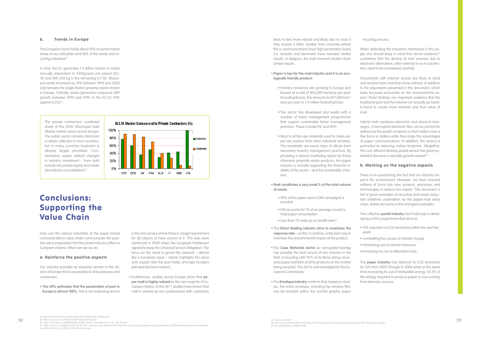The European Union holds about 30% of world market share of eco-industries and 50% of the waste and recycling industries<sup>83</sup>.

### b. Trends in Europe

In total, the EU generates 1.3 billion tonnes of waste annually (equivalent to 530kg/year per person (EU-15) and 300-350 kg in the remaining EU-10). Municipal waste increased by 19% between 1995 and 2003 and remains the single fastest growing waste stream in Europe. Critically, waste generation outpaced GDP growth between 1990 and 1995 in the EU-25 (10% against  $6.5\%$ <sup>84</sup>.

The private contractors' combined share of the MSW (Municipal Solid Waste) market varies across Europe. The public sector remains dominant in waste collection in most countries, but in many countries treatment is already largely privatised. Commentators expect radical changes in industry investment - from both outside (via private equity) and inside (via industry consolidation) $85$ .



## Conclusions: Supporting the Value Chain

How can the various industries of the paper based communications value chain communicate the positive value proposition that the postal industry offers to European citizens. What can we we do:

### a. Reinforce the positive aspects

Our industry provides an essential service to the citizens of Europe that is accessible to all businesses and consumers.

• **The UPU estimates that the penetration of post in Europe is almost 100%.** This is not surprising since it is the only service where there is a legal requirement for all citizens to have access to it. This was even reinforced in 2008 when the European Parliament agreed to keep the Universal Service Obligation. The focus on the need to guard this network – almost like a European asset – clearly highlights the value and respect that the post holds amongst Europe's principal decision-makers.

• Furthermore, studies across Europe show that **paper mail is highly-valued** by the vast majority of European citizens. In the UK<sup>86</sup>, studies have shown that mail is viewed as very professional with customers likely to feel more-valued and likely also to react if they receive a letter. Studies from countries where the e-communications have high penetration levels (i.e. Sweden and Denmark) have revealed similar results. In Belgium, the mail moment studies show similar results.

> Hybrid mail combines electronic and physical messages. Unencrypted electronic files can be printed for delivery by the postal company so that mailers save a few Euros or dollars while they enjoy the advantages of paper communications. In addition, the service is promoted as reducing carbon footprints. Altogether, this cost-efficient desktop postal service has great potential to become a valuable growth market<sup>89</sup>.

### • **Paper is key for the mail industry and it is an ecologically friendly product:**

- Forestry resources are growing in Europe (incl Russia) at a rate of 805,000 hectares per year. Excluding Russia, this amounts to 607,000 hectares per year or 1.5 million football pitches.
- The sector has developed and works with a number of forest management programmes that support sustainable forest management practices. These include FSC and PEFC.
- Most to of the raw materials used to make paper are residue from other industrial activities. The remainder are wood chips of offcuts from necessary forestry management practices. By providing a serious marketing option for these otherwise potential waste products, the paper industry is actually supporting the financial viability of the sector – and the sustainably of forests.

• **Mail constitutes a very small % of the total volume of waste.**

- 90% of the paper used in DM campaigns is recycled
- DM accounts for 1% of an average country's total paper consumption
- Less than 1% ends up on landfill sites<sup>87</sup>
- The **Direct Mailing industry aims to maximise the response rate** – as this, it confirms, is the best way to minimise the environmental impact of the product.
- The **Case Materials sector** (ie corrugated boxing) has possibly the best record of any industry in the field of recycling with 92% of its fibres being recovered paper and 84% of all its products on the market being recycled. This fact is acknowledged by the European Commission.
- The **Envelope industry** confirms that, based on studies, the entire envelope, including the window film, can be recycled within the normal graphic paper

recycling process.

When defending the industries mentioned in this paper one should keep in mind that recent evidence<sup>88</sup> underlines that the decline of mail volumes due to electronic alternatives, often referred to as e-substitution, need to be considered carefully.

Households with internet access are likely to send and receive more mail than those without. In addition to the arguments presented in this document, which have focussed exclusively on the environmental aspect, these findings are important evidence that the traditional post and the internet can actually go handin-hand to create more volumes and thus value of mail.

### b. Working on the negative aspects

There is no questioning the fact that our industry impacts the environment. However, we have invested millions of Euros into new systems, processes and technologies to reduce this impact. This document is full of great examples of recycling and waste reduction initiatives undertaken by the paper-mail value chain. Below are some of the strongest examples:

The collective **postal industry** (via PostEurop) is developing a GHG programme that aims at:

- 10% reduction of CO2 emissions within the next five years
- combatting the causes of climate change
- minimising use of natural resources
- increasing its use of alternative fuels

The **paper industry** has reduced its CO2 emissions by 15% from 2003 through to 2006 while at the same time increasing its use of renewable energy. 54.5% of the energy required to produce paper is now coming from biomass sources.

83. http://ecoinno2sme.eu/index.php5?file=24&archive=1&news=70 84. http://ec.europa.eu/environment/waste/pdf/faq.pdf

- 
- 
- 

<sup>38 84.</sup> http://ec.europa.eu/environment/waste/pdf/faq.pdf<br>85 bttp://ec.europa.eu/environment/waste/pdf/faq.pdf<br>85 bttp://www.opsu.arg/lifes.logislu.prof/ENLISHON-programmat\_in\_EU\_Enb\_06 pdf

<sup>85.</sup> http://www.epsu.org/IMG/pdf/EN\_PSIRU\_waste\_management\_in\_EU\_Feb\_06.pdf<br>86. Mail can win in a diaital world. Pa 10. http://www.psc.aov.uk/postcomm/live/news-and-events/speeches-and-presentations/2008/international-direc 86. Mail can win in a digital world, Pg 10, http://www.psc.gov.uk/postcomm/live/news-and-events/speeches-and-presentations/2008/international-direct-marketing-<br>fair-2008/2008\_04\_30\_IDMF\_2008\_Postcomm.pdf

<sup>2007)</sup> European Postal Perspective and Pitney Bowes (February 2008), Mail Trends Update 88. Such as Cap Gemini (2007) Euro<br>89 JPC Market flash, October 2008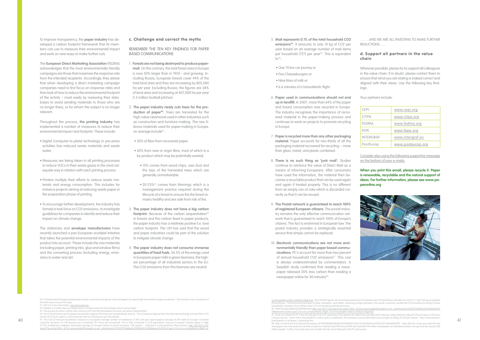To improve transparency, the **paper industry** has developed a carbon footprint framework that its members can use to measure their environmental impact and work on new ways to make further cuts.

The **European Direct Marketing Association** (FEDMA) acknowledges that the most environmentally friendly campaigns are those that maximise the response rate from the intended recipients. Accordingly, they advise that when developing a direct marketing campaign companies need to first focus on response rates and then look at how to reduce the environmental footprint of the activity – most easily by reviewing their databases to avoid sending materials to those who are no longer there, or for whom the subject is no longer relevant.

Throughout the process, **the printing industry** has implemented a number of measures to reduce their environmental impact and footprint. These include:

- Digital (computer-to-plate) technology in pre-press activities has reduced waste materials and waste water
- Measures are being taken in all printing processes to reduce VOCs in their waste gases in the most adequate way in relation with each printing process
- Printers multiply their efforts to reduce waste materials and energy consumption. This includes for instance projects aiming at reducing waste paper in the preparation phase of printing.
- To encourage further development, the industry has formed a task force on CO2 emissions, to investigate guidelines for companies to identify and reduce their impact on climate change.

The stationary and **envelope manufacturers** have recently launched a pan-European ecolabel initiative that takes the potential environmental impacts of the product into account. These include the raw materials (including paper, printing inks, glue and window films) and the converting process (including energy, emissions to water and air).

| CEPI         | www.cepi.org      |
|--------------|-------------------|
| <b>CITPA</b> | www.citpa.org     |
| FEDMA        | www.fedma.org     |
| FEPE         | www.fepe.org      |
| INTERGRAF    | www.intergraf.eu  |
| PostEurop    | www.posteurop.org |

5. **Mail represents 0.1% of the total household CO2 emissions94.** It amounts to only 14 kg of CO2 per year based on an average number of mail items per household (727) per year<sup>95</sup>. This is equivalent  $10^{96}$ 

### c. Challenge and correct the myths

REMEMBER THE TEN KEY FINDINGS FOR PAPER BASED COMMUNICATIONS

- One 70 km car journey or
- Five Cheeseburgers or
- Nine litres of milk or
- 6.6 minutes of a transatlantic flight.
- 6. **Paper used in communications should not end up in landfill.** In 2007, more than 64% of the paper and board consumption was recycled in Europe. The industry recognises the importance of recovered material in the paper-making process and continues to work on projects to promote recycling in Europe.
- 7. **Paper is recycled more than any other packaging material**. Paper accounts for two-thirds of all the packaging material recovered for recycling -- more than glass, metal, and plastic combined.
- 8. **There is no such thing as 'junk mail'.** Studies continue to reinforce the value of Direct Mail as a means of informing Europeans. After consumers have used the information, the material then becomes a recyclable product that can be used again and again if treated properly. This is no different from an empty can of coke which is discarded correctly so that it can be reused.
- 9. **The Postal network is guaranteed to reach 100% of registered European citizens.** The postal industry remains the only effective communication network that is guaranteed to reach 100% of Europe's citizens. This fact is enshrined in European law. The postal industry provides a strategically essential service that simply cannot be replaced.
- 10. **Electronic communications are not more environmentally friendly than paper based communications.** PC's account for more than two percent of annual household CO2 emissions<sup>97</sup>. This cost is always underestimated by commentators. A Swedish study confirmed that reading a newspaper released 20% less carbon than reading a newspaper online for 30 minutes<sup>98</sup>.
- 1. **Forests are not being destroyed to produce papermail.** On the contrary, the total forest area in Europe is now 30% larger than in 1950 - and growing. Including Russia, European forests cover 44% of the total land area and they are increasing by 805,000 ha per year. Excluding Russia, the figures are 38% of land area and increasing at 607,000 ha per year (1.5 million football pitches).
- 2. **The paper industry rarely cuts trees for the pro**duction of paper<sup>90</sup>. Trees are harvested for the high-value clearwood used in other industries such as construction and furniture-making. The raw fibrous materials used for paper-making in Europe, on average include<sup>91</sup>:
	- 50% of fibre from recovered paper.
	- 50% from new or virgin fibre, most of which is a by-product which may be potentially wasted:
		- 13% comes from wood chips, saw dust and the tops of the harvested trees which are generally unmarketable.
		- $\bullet$  20-25%<sup>92</sup> comes from thinnings which is a management practice required during the lifecycle of a forest to ensure the the forest remains healthy and are safe from risk of fire.
- 3. **The paper industry does not have a big carbon**  footprint. Because of the carbon sequestration<sup>93</sup> in forests and the carbon fixed in paper products, the paper industry has a relatively positive (i.e. low) carbon footprint. The UN has said that the wood and paper industries could be part of the solution to mitigate climate change.
- 4. **The paper industry does not consume immense quantities of fossil fuels.** 54.5% of the energy used in European paper mills is green biomass, the highest percentage of all industrial sectors in the EU. The CO2 emissions from this biomass are neutral.

92. Weaker or smaller trees are felled early on to allow space for the stronger trees to grow larger 93. The process by which carbon sinks remove CO2 from the atmosphere is known as carbon sequestration

the total resource pool in Europe.<br>91. CEPI. For more information, <u>see www.cepi.org</u>

6+minutes&hl=en&ct=clnk&cd=1&gl=be). Note that the figures do not include production of materials which Pitney Bowes estimates to costs 0.9-1.3gr CO2 per gr of paper (Pitney Bowes - The Environmental Impact of Mail: A Baseline, June 2008). Assuming a 20gr mail piece, this would, in practice, double the CO2 emissions (to 28 kg CO2 per household). However, this is still less than 0.2% of annual household emissions.

96. Pitney Bowes (Making Mail Relevant) http://66.102.9.132/search?q=cache:OlIQ\_-lq73oJ:www.insight2foresight.co.uk/\_attachments/3335871/Making%2520Mail%25 <u>20Relevant%2520v2.ppt+CO2+of+a+transatlantic+flight,+6.6+minutes&hl=en&ct=clnk&cd=1&gl=be).</u><br>97. Study of a reference PC in the UK indicates that a PC operating at full capacity for eight hours per day and 5 days per week CO2 per annum. Given that a household PC is also used on weekends, the emissions can be estimated to be as high as 495kg of CO2 per annum. http://www.z bonfootprint.co.uk/green\_computing.htm.

40 95. The CO2 of mail per household is based on a European average number of mailpieces of 260 units per capita (approx average of UPU data for Europe) converted bonfootprint.co.uk/green\_computing.htm. [11] the converted tonnes of CO2 per capita x a std conversion rate of 2.80 persons per household). using the std factor of 2.80 persons per household (727 items per household). This is then converted to CO2 equivalents using an European industry figure of 20gr<br>of CO2 emitted per mailpiece (estimated average for Europe b

……..AND WE ARE ALL INVESTING TO MAKE FURTHER REDUCTIONS…..

### d. Support all partners in the value chain

Wherever possible, please try to support all colleagues in the value chain. If in doubt, please contact them to ensure that what you are stating is indeed correct and aligned with their views. Use the following key findings:

Your partners include:

Consider also using the following supportive message on the bottom of your e-mails:

**When you print this email, please recycle it. Paper is renewable, recyclable and the natural support of ideas. For further information, please see www.paperonline.org**



90. In Finland and Portugal (and perhaps Austria), some trees are grown and managed to be specifically harvested for paper production. This remains only a small part of

94. Ave CO2 emissions per European household is approx 20 tonnes per household per annum. This is based on figures from the International Energy Annual 2005 (7.93

98. http://www.forest.fi/smyforest/foresteng.nsf/95f358fafb7d84d8c2256f4b003725e1/5c5a49462ac05185c22574ba001ba997. Note that the study assumed that the newspaper was only read once and by one person whereas the ENPA (www.ENPA.be) state that 140 million wspaper was only read once and by one person whereas the ENPA (www.ENPA.be) state that 140 million million people. Further, the study does not consider the full cost of disposal of the PC and screen.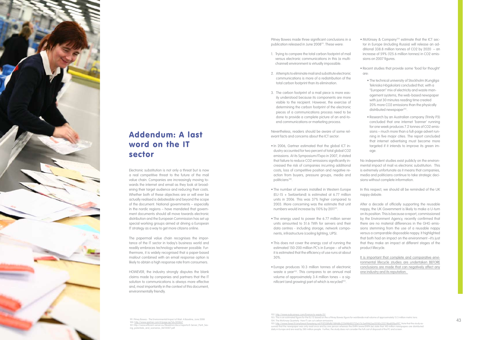

## Addendum: A last word on the IT sector

Electronic substitution is not only a threat but is now a real competitive threat to the future of the mail value chain. Companies are increasingly moving to wards the internet and email as they look at broad ening their target audience and reducing their costs. Whether both of these objectives are or will ever be actually realised is debateable and beyond the scope of the document. National governments – especially in the nordic regions – have mandated that govern ment documents should all move towards electronic distribution and the European Commission has set up special working groups aimed at driving a European IT strategy as a way to get more citizens online.

Pitney Bowes made three significant conclusions in a publication released in June 2008<sup>99</sup>. These were:

The papermail value chain recognises the importance of the IT sector in today's business world and readily embraces technology wherever possible. Furthermore, it is widely recognised that a paper-based mailout combined with an email response option is likely to obtain a high response rate from consumers.

- In 2006, Gartner estimated that the global ICT in dustry accounted for two percent of total global CO2 emissions. At its Symposium/ITxpo in 2007, it stated that failure to reduce CO2 emissions significantly in creased the risk of companies incurring additional costs, loss of competitive position and negative re action from buyers, pressure groups, media and politicians100.
- The number of servers installed in Western Europe (EU-15 + Switzerland) is estimated at 6.77 million units in 2006. This was 37% higher compared to 2003. More concerning was the estimate that unit numbers would increase by 110% by 2011<sup>101</sup>.
- The energy used to power the 6.77 million server units amounted to 51.6 TWh for servers and their data centres - including storage, network compo nents, infrastructure (cooling lighting, UPS).
- This does not cover the energy cost of running the estimated 150-200 million PC's in Europe – of which it is estimated that the efficiency of use runs at about 30%.
- Europe produces 10.3 million tonnes of electronic waste a year<sup>102</sup>. This compares to an annual mail volume of approximately 3.4 million tones – a sig nificant (and growing) part of which is recycled<sup>103</sup>.

HOWEVER, the industry strongly disputes the blank claims made by companies and partners that the IT solution to communications is always more effective and, most importantly in the context of this document, environmentally friendly.

- 1. Trying to compare the total carbon footprint of mail versus electronic communications in this (a multichannel) environment is virtually impossible.
- 2. Attempts to eliminate mail and substitute electronic communications is more of a redistribution of the total carbon footprint than its elimination.
- 3. The carbon footprint of a mail piece is more eas ily understood because its components are more visible to the recipient. However, the exercise of determining the carbon footprint of the electronic pieces of a communications process need to be done to provide a complete picture of an end-toend communications or marketing process.

• McKinsey & Company<sup>104</sup> estimate that the ICT sector in Europe (including Russia) will release an ad ditional 338.8 million tonnes of CO2 by 2020 – an increase of 59% (125.6 million tonnes) in CO2 emis sions on 2007 figures.

Nevertheless, readers should be aware of some rel evant facts and concerns about the ICT sector:

> It is important that complete and comparative environmental lifecycle studies are undertaken BEFORE conclusions are made that can negatively affect any one industry and its reputation.

- 104. The McKinsey Quarterly: How IT can cut carbor
- 105. http://www.forest.fi/smyforest/foresteng.nsf/95f358fafb7d84d8c2256f4b003725e1/5c5a49462ac05185c22574ba001ba997. Note that the study as -

sum and that the newspaper was only read once and by one person whereas the ENPA (www.ENPA.be) state that 140 mil daily in Europe and are read by 280 million people. Further, the study does not consider the full cost of disposal of the PC and screen

• Recent studies that provide some 'food for thought' are:

- The technical university of Stockholm (Kungliga Tekniska Högskolan) concluded that, with a "European" mix of electricity and waste man agement systems, the web-based newspaper with just 30 minutes reading time created 20% more CO2 emissions than the physically distributed newspaper<sup>105</sup>.
- Research by an Australian company (Trinity P3) concluded that one internet 'banner' running for one week produces 7.2 tonnes of CO2 emis sions – much more than a full-page advert run ning in five major cities. The report concluded that internet advertising must become more targeted if it intends to improve its green im age.

No independent studies exist publicly on the environ mental impact of mail vs electronic substitution. This is extremely unfortunate as it means that companies, media and politicians continue to take strategic deci sions without complete information.

In this respect, we should all be reminded of the UK nappy debate.

After a decade of officially supporting the reusable nappy, the UK Government is likely to make a U-turn on its position. This is because a report, commissioned by the Environment Agency, recently confirmed that there are no material differences in the GHG emis sions stemming from the use of a reusable nappy versus a comparable disposable nappy. It highlighted that both had an impact on the environment –it's just that they make an impact at different stages of the product lifecycle.

99. Pitney Bowes - The Environmental Impact of Mail: A Baseline, June 2008 100. <u>http://www.gartner.com/it/page.jsp?id=503867</u><br>101. http://www.efficient-server.eu/fileadmin/docs/reports/E-Server\_PartI\_Sav orts/E-Server Partl Sav ing\_potentials\_and\_scenarios\_06112007.pdf

<sup>102. &</sup>lt;u>http://www.eubusiness.com/Environ/e-waste.01/</u><br>103. This is an estimated figure for the EU 15 based on the a Pitney Bowes figure for worldwide mail volume of approximately 13.5 million metric tons.